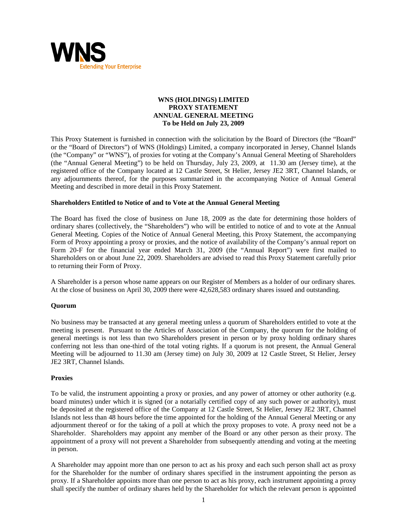

# **WNS (HOLDINGS) LIMITED PROXY STATEMENT ANNUAL GENERAL MEETING To be Held on July 23, 2009**

This Proxy Statement is furnished in connection with the solicitation by the Board of Directors (the "Board" or the "Board of Directors") of WNS (Holdings) Limited, a company incorporated in Jersey, Channel Islands (the "Company" or "WNS"), of proxies for voting at the Company's Annual General Meeting of Shareholders (the "Annual General Meeting") to be held on Thursday, July 23, 2009, at 11.30 am (Jersey time), at the registered office of the Company located at 12 Castle Street, St Helier, Jersey JE2 3RT, Channel Islands, or any adjournments thereof, for the purposes summarized in the accompanying Notice of Annual General Meeting and described in more detail in this Proxy Statement.

## **Shareholders Entitled to Notice of and to Vote at the Annual General Meeting**

The Board has fixed the close of business on June 18, 2009 as the date for determining those holders of ordinary shares (collectively, the "Shareholders") who will be entitled to notice of and to vote at the Annual General Meeting. Copies of the Notice of Annual General Meeting, this Proxy Statement, the accompanying Form of Proxy appointing a proxy or proxies, and the notice of availability of the Company's annual report on Form 20-F for the financial year ended March 31, 2009 (the "Annual Report") were first mailed to Shareholders on or about June 22, 2009. Shareholders are advised to read this Proxy Statement carefully prior to returning their Form of Proxy.

A Shareholder is a person whose name appears on our Register of Members as a holder of our ordinary shares. At the close of business on April 30, 2009 there were 42,628,583 ordinary shares issued and outstanding.

## **Quorum**

No business may be transacted at any general meeting unless a quorum of Shareholders entitled to vote at the meeting is present. Pursuant to the Articles of Association of the Company, the quorum for the holding of general meetings is not less than two Shareholders present in person or by proxy holding ordinary shares conferring not less than one-third of the total voting rights. If a quorum is not present, the Annual General Meeting will be adjourned to 11.30 am (Jersey time) on July 30, 2009 at 12 Castle Street, St Helier, Jersey JE2 3RT, Channel Islands.

#### **Proxies**

To be valid, the instrument appointing a proxy or proxies, and any power of attorney or other authority (e.g. board minutes) under which it is signed (or a notarially certified copy of any such power or authority), must be deposited at the registered office of the Company at 12 Castle Street, St Helier, Jersey JE2 3RT, Channel Islands not less than 48 hours before the time appointed for the holding of the Annual General Meeting or any adjournment thereof or for the taking of a poll at which the proxy proposes to vote. A proxy need not be a Shareholder. Shareholders may appoint any member of the Board or any other person as their proxy. The appointment of a proxy will not prevent a Shareholder from subsequently attending and voting at the meeting in person.

A Shareholder may appoint more than one person to act as his proxy and each such person shall act as proxy for the Shareholder for the number of ordinary shares specified in the instrument appointing the person as proxy. If a Shareholder appoints more than one person to act as his proxy, each instrument appointing a proxy shall specify the number of ordinary shares held by the Shareholder for which the relevant person is appointed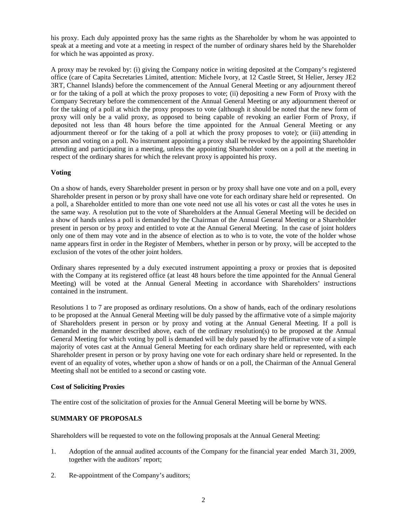his proxy. Each duly appointed proxy has the same rights as the Shareholder by whom he was appointed to speak at a meeting and vote at a meeting in respect of the number of ordinary shares held by the Shareholder for which he was appointed as proxy.

A proxy may be revoked by: (i) giving the Company notice in writing deposited at the Company's registered office (care of Capita Secretaries Limited, attention: Michele Ivory, at 12 Castle Street, St Helier, Jersey JE2 3RT, Channel Islands) before the commencement of the Annual General Meeting or any adjournment thereof or for the taking of a poll at which the proxy proposes to vote; (ii) depositing a new Form of Proxy with the Company Secretary before the commencement of the Annual General Meeting or any adjournment thereof or for the taking of a poll at which the proxy proposes to vote (although it should be noted that the new form of proxy will only be a valid proxy, as opposed to being capable of revoking an earlier Form of Proxy, if deposited not less than 48 hours before the time appointed for the Annual General Meeting or any adjournment thereof or for the taking of a poll at which the proxy proposes to vote); or (iii) attending in person and voting on a poll. No instrument appointing a proxy shall be revoked by the appointing Shareholder attending and participating in a meeting, unless the appointing Shareholder votes on a poll at the meeting in respect of the ordinary shares for which the relevant proxy is appointed his proxy.

# **Voting**

On a show of hands, every Shareholder present in person or by proxy shall have one vote and on a poll, every Shareholder present in person or by proxy shall have one vote for each ordinary share held or represented. On a poll, a Shareholder entitled to more than one vote need not use all his votes or cast all the votes he uses in the same way. A resolution put to the vote of Shareholders at the Annual General Meeting will be decided on a show of hands unless a poll is demanded by the Chairman of the Annual General Meeting or a Shareholder present in person or by proxy and entitled to vote at the Annual General Meeting. In the case of joint holders only one of them may vote and in the absence of election as to who is to vote, the vote of the holder whose name appears first in order in the Register of Members, whether in person or by proxy, will be accepted to the exclusion of the votes of the other joint holders.

Ordinary shares represented by a duly executed instrument appointing a proxy or proxies that is deposited with the Company at its registered office (at least 48 hours before the time appointed for the Annual General Meeting) will be voted at the Annual General Meeting in accordance with Shareholders' instructions contained in the instrument.

Resolutions 1 to 7 are proposed as ordinary resolutions. On a show of hands, each of the ordinary resolutions to be proposed at the Annual General Meeting will be duly passed by the affirmative vote of a simple majority of Shareholders present in person or by proxy and voting at the Annual General Meeting. If a poll is demanded in the manner described above, each of the ordinary resolution(s) to be proposed at the Annual General Meeting for which voting by poll is demanded will be duly passed by the affirmative vote of a simple majority of votes cast at the Annual General Meeting for each ordinary share held or represented, with each Shareholder present in person or by proxy having one vote for each ordinary share held or represented. In the event of an equality of votes, whether upon a show of hands or on a poll, the Chairman of the Annual General Meeting shall not be entitled to a second or casting vote.

## **Cost of Soliciting Proxies**

The entire cost of the solicitation of proxies for the Annual General Meeting will be borne by WNS.

# **SUMMARY OF PROPOSALS**

Shareholders will be requested to vote on the following proposals at the Annual General Meeting:

- 1. Adoption of the annual audited accounts of the Company for the financial year ended March 31, 2009, together with the auditors' report;
- 2. Re-appointment of the Company's auditors;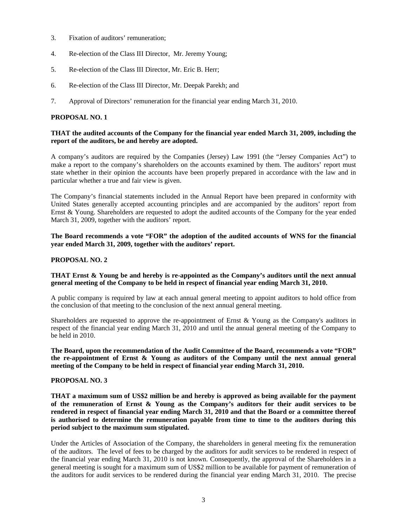- 3. Fixation of auditors' remuneration;
- 4. Re-election of the Class III Director, Mr. Jeremy Young;
- 5. Re-election of the Class III Director, Mr. Eric B. Herr;
- 6. Re-election of the Class III Director, Mr. Deepak Parekh; and
- 7. Approval of Directors' remuneration for the financial year ending March 31, 2010.

# **PROPOSAL NO. 1**

# **THAT the audited accounts of the Company for the financial year ended March 31, 2009, including the report of the auditors, be and hereby are adopted.**

A company's auditors are required by the Companies (Jersey) Law 1991 (the "Jersey Companies Act") to make a report to the company's shareholders on the accounts examined by them. The auditors' report must state whether in their opinion the accounts have been properly prepared in accordance with the law and in particular whether a true and fair view is given.

The Company's financial statements included in the Annual Report have been prepared in conformity with United States generally accepted accounting principles and are accompanied by the auditors' report from Ernst & Young. Shareholders are requested to adopt the audited accounts of the Company for the year ended March 31, 2009, together with the auditors' report.

**The Board recommends a vote "FOR" the adoption of the audited accounts of WNS for the financial year ended March 31, 2009, together with the auditors' report.** 

# **PROPOSAL NO. 2**

## **THAT Ernst & Young be and hereby is re-appointed as the Company's auditors until the next annual general meeting of the Company to be held in respect of financial year ending March 31, 2010.**

A public company is required by law at each annual general meeting to appoint auditors to hold office from the conclusion of that meeting to the conclusion of the next annual general meeting.

Shareholders are requested to approve the re-appointment of Ernst  $\&$  Young as the Company's auditors in respect of the financial year ending March 31, 2010 and until the annual general meeting of the Company to be held in 2010.

**The Board, upon the recommendation of the Audit Committee of the Board, recommends a vote "FOR" the re-appointment of Ernst & Young as auditors of the Company until the next annual general meeting of the Company to be held in respect of financial year ending March 31, 2010.** 

# **PROPOSAL NO. 3**

**THAT a maximum sum of US\$2 million be and hereby is approved as being available for the payment of the remuneration of Ernst & Young as the Company's auditors for their audit services to be rendered in respect of financial year ending March 31, 2010 and that the Board or a committee thereof is authorised to determine the remuneration payable from time to time to the auditors during this period subject to the maximum sum stipulated.** 

Under the Articles of Association of the Company, the shareholders in general meeting fix the remuneration of the auditors. The level of fees to be charged by the auditors for audit services to be rendered in respect of the financial year ending March 31, 2010 is not known. Consequently, the approval of the Shareholders in a general meeting is sought for a maximum sum of US\$2 million to be available for payment of remuneration of the auditors for audit services to be rendered during the financial year ending March 31, 2010. The precise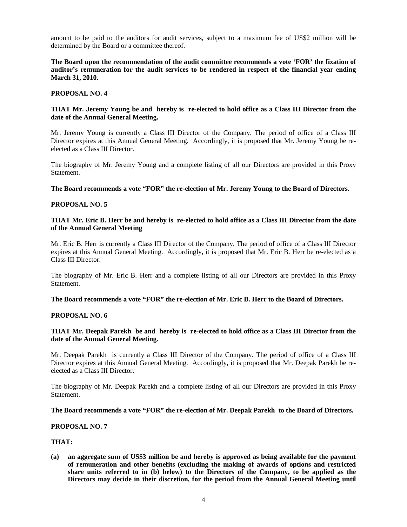amount to be paid to the auditors for audit services, subject to a maximum fee of US\$2 million will be determined by the Board or a committee thereof.

**The Board upon the recommendation of the audit committee recommends a vote 'FOR' the fixation of auditor's remuneration for the audit services to be rendered in respect of the financial year ending March 31, 2010.** 

#### **PROPOSAL NO. 4**

## **THAT Mr. Jeremy Young be and hereby is re-elected to hold office as a Class III Director from the date of the Annual General Meeting.**

Mr. Jeremy Young is currently a Class III Director of the Company. The period of office of a Class III Director expires at this Annual General Meeting. Accordingly, it is proposed that Mr. Jeremy Young be reelected as a Class III Director.

The biography of Mr. Jeremy Young and a complete listing of all our Directors are provided in this Proxy Statement.

#### **The Board recommends a vote "FOR" the re-election of Mr. Jeremy Young to the Board of Directors.**

#### **PROPOSAL NO. 5**

#### **THAT Mr. Eric B. Herr be and hereby is re-elected to hold office as a Class III Director from the date of the Annual General Meeting**

Mr. Eric B. Herr is currently a Class III Director of the Company. The period of office of a Class III Director expires at this Annual General Meeting. Accordingly, it is proposed that Mr. Eric B. Herr be re-elected as a Class III Director.

The biography of Mr. Eric B. Herr and a complete listing of all our Directors are provided in this Proxy Statement.

#### **The Board recommends a vote "FOR" the re-election of Mr. Eric B. Herr to the Board of Directors.**

### **PROPOSAL NO. 6**

## **THAT Mr. Deepak Parekh be and hereby is re-elected to hold office as a Class III Director from the date of the Annual General Meeting.**

Mr. Deepak Parekh is currently a Class III Director of the Company. The period of office of a Class III Director expires at this Annual General Meeting. Accordingly, it is proposed that Mr. Deepak Parekh be reelected as a Class III Director.

The biography of Mr. Deepak Parekh and a complete listing of all our Directors are provided in this Proxy Statement.

#### **The Board recommends a vote "FOR" the re-election of Mr. Deepak Parekh to the Board of Directors.**

## **PROPOSAL NO. 7**

#### **THAT:**

**(a) an aggregate sum of US\$3 million be and hereby is approved as being available for the payment of remuneration and other benefits (excluding the making of awards of options and restricted share units referred to in (b) below) to the Directors of the Company, to be applied as the Directors may decide in their discretion, for the period from the Annual General Meeting until**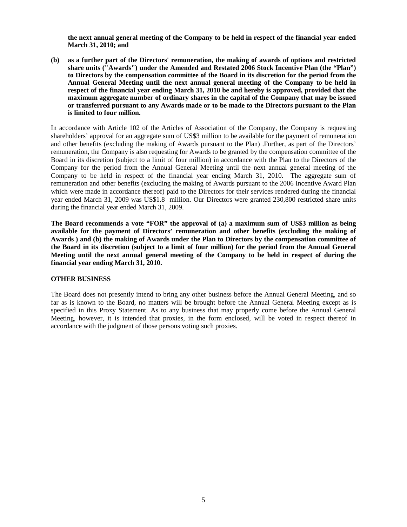**the next annual general meeting of the Company to be held in respect of the financial year ended March 31, 2010; and** 

**(b) as a further part of the Directors' remuneration, the making of awards of options and restricted share units ("Awards") under the Amended and Restated 2006 Stock Incentive Plan (the "Plan") to Directors by the compensation committee of the Board in its discretion for the period from the Annual General Meeting until the next annual general meeting of the Company to be held in respect of the financial year ending March 31, 2010 be and hereby is approved, provided that the maximum aggregate number of ordinary shares in the capital of the Company that may be issued or transferred pursuant to any Awards made or to be made to the Directors pursuant to the Plan is limited to four million.** 

In accordance with Article 102 of the Articles of Association of the Company, the Company is requesting shareholders' approval for an aggregate sum of US\$3 million to be available for the payment of remuneration and other benefits (excluding the making of Awards pursuant to the Plan) .Further, as part of the Directors' remuneration, the Company is also requesting for Awards to be granted by the compensation committee of the Board in its discretion (subject to a limit of four million) in accordance with the Plan to the Directors of the Company for the period from the Annual General Meeting until the next annual general meeting of the Company to be held in respect of the financial year ending March 31, 2010. The aggregate sum of remuneration and other benefits (excluding the making of Awards pursuant to the 2006 Incentive Award Plan which were made in accordance thereof) paid to the Directors for their services rendered during the financial year ended March 31, 2009 was US\$1.8 million. Our Directors were granted 230,800 restricted share units during the financial year ended March 31, 2009.

**The Board recommends a vote "FOR" the approval of (a) a maximum sum of US\$3 million as being available for the payment of Directors' remuneration and other benefits (excluding the making of Awards ) and (b) the making of Awards under the Plan to Directors by the compensation committee of the Board in its discretion (subject to a limit of four million) for the period from the Annual General Meeting until the next annual general meeting of the Company to be held in respect of during the financial year ending March 31, 2010.** 

# **OTHER BUSINESS**

The Board does not presently intend to bring any other business before the Annual General Meeting, and so far as is known to the Board, no matters will be brought before the Annual General Meeting except as is specified in this Proxy Statement. As to any business that may properly come before the Annual General Meeting, however, it is intended that proxies, in the form enclosed, will be voted in respect thereof in accordance with the judgment of those persons voting such proxies.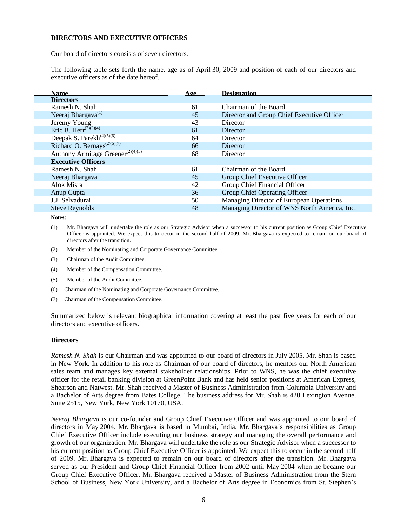## **DIRECTORS AND EXECUTIVE OFFICERS**

Our board of directors consists of seven directors.

The following table sets forth the name, age as of April 30, 2009 and position of each of our directors and executive officers as of the date hereof.

| <b>Name</b>                                          | Age | <b>Designation</b>                           |
|------------------------------------------------------|-----|----------------------------------------------|
| <b>Directors</b>                                     |     |                                              |
| Ramesh N. Shah                                       | 61  | Chairman of the Board                        |
| Neeraj Bhargava <sup>(1)</sup>                       | 45  | Director and Group Chief Executive Officer   |
| Jeremy Young                                         | 43  | Director                                     |
| Eric B. Herr <sup><math>(2)(3)(4)</math></sup>       | 61  | Director                                     |
| Deepak S. Parekh <sup>(4)(5)(6)</sup>                | 64  | Director                                     |
| Richard O. Bernays <sup><math>(2)(5)(7)</math></sup> | 66  | Director                                     |
| Anthony Armitage Greener <sup>(2)(4)(5)</sup>        | 68  | Director                                     |
| <b>Executive Officers</b>                            |     |                                              |
| Ramesh N. Shah                                       | 61  | Chairman of the Board                        |
| Neeraj Bhargava                                      | 45  | Group Chief Executive Officer                |
| Alok Misra                                           | 42  | Group Chief Financial Officer                |
| Anup Gupta                                           | 36  | Group Chief Operating Officer                |
| J.J. Selvadurai                                      | 50  | Managing Director of European Operations     |
| <b>Steve Reynolds</b>                                | 48  | Managing Director of WNS North America, Inc. |
|                                                      |     |                                              |

**Notes:**

Γ

(1) Mr. Bhargava will undertake the role as our Strategic Advisor when a successor to his current position as Group Chief Executive Officer is appointed. We expect this to occur in the second half of 2009. Mr. Bhargava is expected to remain on our board of directors after the transition.

- (2) Member of the Nominating and Corporate Governance Committee.
- (3) Chairman of the Audit Committee.
- (4) Member of the Compensation Committee.
- (5) Member of the Audit Committee.
- (6) Chairman of the Nominating and Corporate Governance Committee.
- (7) Chairman of the Compensation Committee.

Summarized below is relevant biographical information covering at least the past five years for each of our directors and executive officers.

#### **Directors**

*Ramesh N. Shah* is our Chairman and was appointed to our board of directors in July 2005. Mr. Shah is based in New York. In addition to his role as Chairman of our board of directors, he mentors our North American sales team and manages key external stakeholder relationships. Prior to WNS, he was the chief executive officer for the retail banking division at GreenPoint Bank and has held senior positions at American Express, Shearson and Natwest. Mr. Shah received a Master of Business Administration from Columbia University and a Bachelor of Arts degree from Bates College. The business address for Mr. Shah is 420 Lexington Avenue, Suite 2515, New York, New York 10170, USA.

*Neeraj Bhargava* is our co-founder and Group Chief Executive Officer and was appointed to our board of directors in May 2004. Mr. Bhargava is based in Mumbai, India. Mr. Bhargava's responsibilities as Group Chief Executive Officer include executing our business strategy and managing the overall performance and growth of our organization. Mr. Bhargava will undertake the role as our Strategic Advisor when a successor to his current position as Group Chief Executive Officer is appointed. We expect this to occur in the second half of 2009. Mr. Bhargava is expected to remain on our board of directors after the transition. Mr. Bhargava served as our President and Group Chief Financial Officer from 2002 until May 2004 when he became our Group Chief Executive Officer. Mr. Bhargava received a Master of Business Administration from the Stern School of Business, New York University, and a Bachelor of Arts degree in Economics from St. Stephen's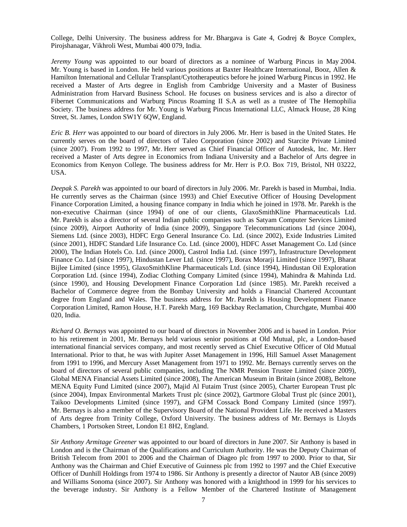College, Delhi University. The business address for Mr. Bhargava is Gate 4, Godrej & Boyce Complex, Pirojshanagar, Vikhroli West, Mumbai 400 079, India.

*Jeremy Young* was appointed to our board of directors as a nominee of Warburg Pincus in May 2004. Mr. Young is based in London. He held various positions at Baxter Healthcare International, Booz, Allen & Hamilton International and Cellular Transplant/Cytotherapeutics before he joined Warburg Pincus in 1992. He received a Master of Arts degree in English from Cambridge University and a Master of Business Administration from Harvard Business School. He focuses on business services and is also a director of Fibernet Communications and Warburg Pincus Roaming II S.A as well as a trustee of The Hemophilia Society. The business address for Mr. Young is Warburg Pincus International LLC, Almack House, 28 King Street, St. James, London SW1Y 6QW, England.

*Eric B. Herr* was appointed to our board of directors in July 2006. Mr. Herr is based in the United States. He currently serves on the board of directors of Taleo Corporation (since 2002) and Starcite Private Limited (since 2007). From 1992 to 1997, Mr. Herr served as Chief Financial Officer of Autodesk, Inc. Mr. Herr received a Master of Arts degree in Economics from Indiana University and a Bachelor of Arts degree in Economics from Kenyon College. The business address for Mr. Herr is P.O. Box 719, Bristol, NH 03222, USA.

*Deepak S. Parekh* was appointed to our board of directors in July 2006. Mr. Parekh is based in Mumbai, India. He currently serves as the Chairman (since 1993) and Chief Executive Officer of Housing Development Finance Corporation Limited, a housing finance company in India which he joined in 1978. Mr. Parekh is the non-executive Chairman (since 1994) of one of our clients, GlaxoSmithKline Pharmaceuticals Ltd. Mr. Parekh is also a director of several Indian public companies such as Satyam Computer Services Limited (since 2009), Airport Authority of India (since 2009), Singapore Telecommunications Ltd (since 2004), Siemens Ltd. (since 2003), HDFC Ergo General Insurance Co. Ltd. (since 2002), Exide Industries Limited (since 2001), HDFC Standard Life Insurance Co. Ltd. (since 2000), HDFC Asset Management Co. Ltd (since 2000), The Indian Hotels Co. Ltd. (since 2000), Castrol India Ltd. (since 1997), Infrastructure Development Finance Co. Ltd (since 1997), Hindustan Lever Ltd. (since 1997), Borax Morarji Limited (since 1997), Bharat Bijlee Limited (since 1995), GlaxoSmithKline Pharmaceuticals Ltd. (since 1994), Hindustan Oil Exploration Corporation Ltd. (since 1994), Zodiac Clothing Company Limited (since 1994), Mahindra & Mahinda Ltd. (since 1990), and Housing Development Finance Corporation Ltd (since 1985). Mr. Parekh received a Bachelor of Commerce degree from the Bombay University and holds a Financial Chartered Accountant degree from England and Wales. The business address for Mr. Parekh is Housing Development Finance Corporation Limited, Ramon House, H.T. Parekh Marg, 169 Backbay Reclamation, Churchgate, Mumbai 400 020, India.

*Richard O. Bernays* was appointed to our board of directors in November 2006 and is based in London. Prior to his retirement in 2001, Mr. Bernays held various senior positions at Old Mutual, plc, a London-based international financial services company, and most recently served as Chief Executive Officer of Old Mutual International. Prior to that, he was with Jupiter Asset Management in 1996, Hill Samuel Asset Management from 1991 to 1996, and Mercury Asset Management from 1971 to 1992. Mr. Bernays currently serves on the board of directors of several public companies, including The NMR Pension Trustee Limited (since 2009), Global MENA Financial Assets Limited (since 2008), The American Museum in Britain (since 2008), Beltone MENA Equity Fund Limited (since 2007), Majid Al Futaim Trust (since 2005), Charter European Trust plc (since 2004), Impax Environmental Markets Trust plc (since 2002), Gartmore Global Trust plc (since 2001), Taikoo Developments Limited (since 1997), and GFM Cossack Bond Company Limited (since 1997). Mr. Bernays is also a member of the Supervisory Board of the National Provident Life. He received a Masters of Arts degree from Trinity College, Oxford University. The business address of Mr. Bernays is Lloyds Chambers, 1 Portsoken Street, London E1 8H2, England.

*Sir Anthony Armitage Greener* was appointed to our board of directors in June 2007. Sir Anthony is based in London and is the Chairman of the Qualifications and Curriculum Authority. He was the Deputy Chairman of British Telecom from 2001 to 2006 and the Chairman of Diageo plc from 1997 to 2000. Prior to that, Sir Anthony was the Chairman and Chief Executive of Guinness plc from 1992 to 1997 and the Chief Executive Officer of Dunhill Holdings from 1974 to 1986. Sir Anthony is presently a director of Nautor AB (since 2009) and Williams Sonoma (since 2007). Sir Anthony was honored with a knighthood in 1999 for his services to the beverage industry. Sir Anthony is a Fellow Member of the Chartered Institute of Management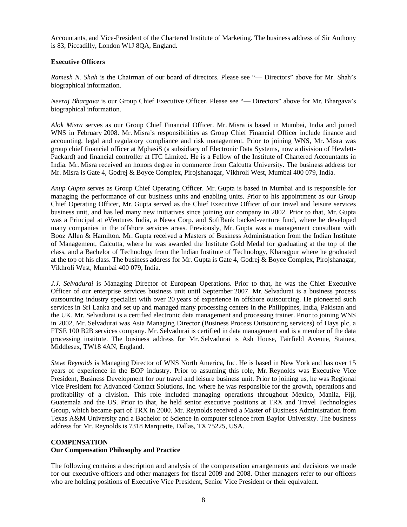Accountants, and Vice-President of the Chartered Institute of Marketing. The business address of Sir Anthony is 83, Piccadilly, London W1J 8QA, England.

## **Executive Officers**

*Ramesh N. Shah* is the Chairman of our board of directors. Please see "— Directors" above for Mr. Shah's biographical information.

*Neeraj Bhargava* is our Group Chief Executive Officer. Please see "— Directors" above for Mr. Bhargava's biographical information.

*Alok Misra* serves as our Group Chief Financial Officer. Mr. Misra is based in Mumbai, India and joined WNS in February 2008. Mr. Misra's responsibilities as Group Chief Financial Officer include finance and accounting, legal and regulatory compliance and risk management. Prior to joining WNS, Mr. Misra was group chief financial officer at MphasiS (a subsidiary of Electronic Data Systems, now a division of Hewlett-Packard) and financial controller at ITC Limited. He is a Fellow of the Institute of Chartered Accountants in India. Mr. Misra received an honors degree in commerce from Calcutta University. The business address for Mr. Misra is Gate 4, Godrej & Boyce Complex, Pirojshanagar, Vikhroli West, Mumbai 400 079, India.

*Anup Gupta* serves as Group Chief Operating Officer. Mr. Gupta is based in Mumbai and is responsible for managing the performance of our business units and enabling units. Prior to his appointment as our Group Chief Operating Officer, Mr. Gupta served as the Chief Executive Officer of our travel and leisure services business unit, and has led many new initiatives since joining our company in 2002. Prior to that, Mr. Gupta was a Principal at eVentures India, a News Corp. and SoftBank backed-venture fund, where he developed many companies in the offshore services areas. Previously, Mr. Gupta was a management consultant with Booz Allen & Hamilton. Mr. Gupta received a Masters of Business Administration from the Indian Institute of Management, Calcutta, where he was awarded the Institute Gold Medal for graduating at the top of the class, and a Bachelor of Technology from the Indian Institute of Technology, Kharagpur where he graduated at the top of his class. The business address for Mr. Gupta is Gate 4, Godrej & Boyce Complex, Pirojshanagar, Vikhroli West, Mumbai 400 079, India.

*J.J. Selvadurai* is Managing Director of European Operations. Prior to that, he was the Chief Executive Officer of our enterprise services business unit until September 2007. Mr. Selvadurai is a business process outsourcing industry specialist with over 20 years of experience in offshore outsourcing. He pioneered such services in Sri Lanka and set up and managed many processing centers in the Philippines, India, Pakistan and the UK. Mr. Selvadurai is a certified electronic data management and processing trainer. Prior to joining WNS in 2002, Mr. Selvadurai was Asia Managing Director (Business Process Outsourcing services) of Hays plc, a FTSE 100 B2B services company. Mr. Selvadurai is certified in data management and is a member of the data processing institute. The business address for Mr. Selvadurai is Ash House, Fairfield Avenue, Staines, Middlesex, TW18 4AN, England.

*Steve Reynolds* is Managing Director of WNS North America, Inc. He is based in New York and has over 15 years of experience in the BOP industry. Prior to assuming this role, Mr. Reynolds was Executive Vice President, Business Development for our travel and leisure business unit. Prior to joining us, he was Regional Vice President for Advanced Contact Solutions, Inc. where he was responsible for the growth, operations and profitability of a division. This role included managing operations throughout Mexico, Manila, Fiji, Guatemala and the US. Prior to that, he held senior executive positions at TRX and Travel Technologies Group, which became part of TRX in 2000. Mr. Reynolds received a Master of Business Administration from Texas A&M University and a Bachelor of Science in computer science from Baylor University. The business address for Mr. Reynolds is 7318 Marquette, Dallas, TX 75225, USA.

# **COMPENSATION Our Compensation Philosophy and Practice**

The following contains a description and analysis of the compensation arrangements and decisions we made for our executive officers and other managers for fiscal 2009 and 2008. Other managers refer to our officers who are holding positions of Executive Vice President, Senior Vice President or their equivalent.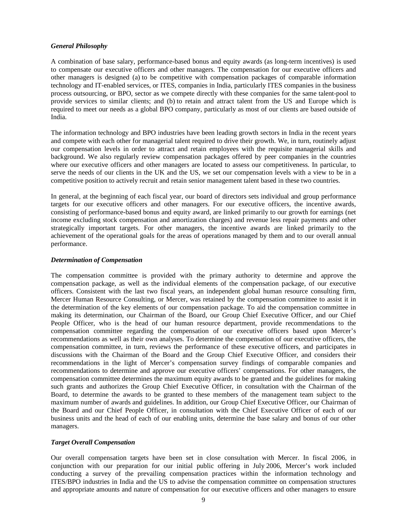## *General Philosophy*

A combination of base salary, performance-based bonus and equity awards (as long-term incentives) is used to compensate our executive officers and other managers. The compensation for our executive officers and other managers is designed (a) to be competitive with compensation packages of comparable information technology and IT-enabled services, or ITES, companies in India, particularly ITES companies in the business process outsourcing, or BPO, sector as we compete directly with these companies for the same talent-pool to provide services to similar clients; and (b) to retain and attract talent from the US and Europe which is required to meet our needs as a global BPO company, particularly as most of our clients are based outside of India.

The information technology and BPO industries have been leading growth sectors in India in the recent years and compete with each other for managerial talent required to drive their growth. We, in turn, routinely adjust our compensation levels in order to attract and retain employees with the requisite managerial skills and background. We also regularly review compensation packages offered by peer companies in the countries where our executive officers and other managers are located to assess our competitiveness. In particular, to serve the needs of our clients in the UK and the US, we set our compensation levels with a view to be in a competitive position to actively recruit and retain senior management talent based in these two countries.

In general, at the beginning of each fiscal year, our board of directors sets individual and group performance targets for our executive officers and other managers. For our executive officers, the incentive awards, consisting of performance-based bonus and equity award, are linked primarily to our growth for earnings (net income excluding stock compensation and amortization charges) and revenue less repair payments and other strategically important targets. For other managers, the incentive awards are linked primarily to the achievement of the operational goals for the areas of operations managed by them and to our overall annual performance.

## *Determination of Compensation*

The compensation committee is provided with the primary authority to determine and approve the compensation package, as well as the individual elements of the compensation package, of our executive officers. Consistent with the last two fiscal years, an independent global human resource consulting firm, Mercer Human Resource Consulting, or Mercer, was retained by the compensation committee to assist it in the determination of the key elements of our compensation package. To aid the compensation committee in making its determination, our Chairman of the Board, our Group Chief Executive Officer, and our Chief People Officer, who is the head of our human resource department, provide recommendations to the compensation committee regarding the compensation of our executive officers based upon Mercer's recommendations as well as their own analyses. To determine the compensation of our executive officers, the compensation committee, in turn, reviews the performance of these executive officers, and participates in discussions with the Chairman of the Board and the Group Chief Executive Officer, and considers their recommendations in the light of Mercer's compensation survey findings of comparable companies and recommendations to determine and approve our executive officers' compensations. For other managers, the compensation committee determines the maximum equity awards to be granted and the guidelines for making such grants and authorizes the Group Chief Executive Officer, in consultation with the Chairman of the Board, to determine the awards to be granted to these members of the management team subject to the maximum number of awards and guidelines. In addition, our Group Chief Executive Officer, our Chairman of the Board and our Chief People Officer, in consultation with the Chief Executive Officer of each of our business units and the head of each of our enabling units, determine the base salary and bonus of our other managers.

## *Target Overall Compensation*

Our overall compensation targets have been set in close consultation with Mercer. In fiscal 2006, in conjunction with our preparation for our initial public offering in July 2006, Mercer's work included conducting a survey of the prevailing compensation practices within the information technology and ITES/BPO industries in India and the US to advise the compensation committee on compensation structures and appropriate amounts and nature of compensation for our executive officers and other managers to ensure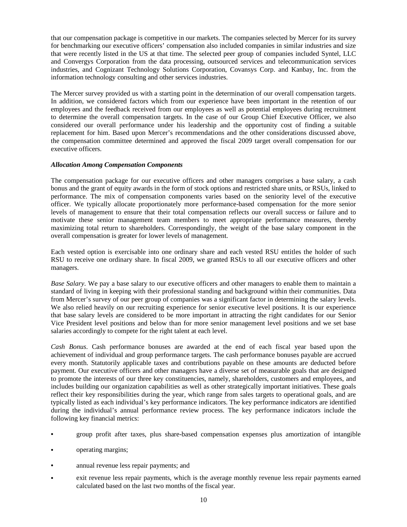that our compensation package is competitive in our markets. The companies selected by Mercer for its survey for benchmarking our executive officers' compensation also included companies in similar industries and size that were recently listed in the US at that time. The selected peer group of companies included Syntel, LLC and Convergys Corporation from the data processing, outsourced services and telecommunication services industries, and Cognizant Technology Solutions Corporation, Covansys Corp. and Kanbay, Inc. from the information technology consulting and other services industries.

The Mercer survey provided us with a starting point in the determination of our overall compensation targets. In addition, we considered factors which from our experience have been important in the retention of our employees and the feedback received from our employees as well as potential employees during recruitment to determine the overall compensation targets. In the case of our Group Chief Executive Officer, we also considered our overall performance under his leadership and the opportunity cost of finding a suitable replacement for him. Based upon Mercer's recommendations and the other considerations discussed above, the compensation committee determined and approved the fiscal 2009 target overall compensation for our executive officers.

## *Allocation Among Compensation Components*

The compensation package for our executive officers and other managers comprises a base salary, a cash bonus and the grant of equity awards in the form of stock options and restricted share units, or RSUs, linked to performance. The mix of compensation components varies based on the seniority level of the executive officer. We typically allocate proportionately more performance-based compensation for the more senior levels of management to ensure that their total compensation reflects our overall success or failure and to motivate these senior management team members to meet appropriate performance measures, thereby maximizing total return to shareholders. Correspondingly, the weight of the base salary component in the overall compensation is greater for lower levels of management.

Each vested option is exercisable into one ordinary share and each vested RSU entitles the holder of such RSU to receive one ordinary share. In fiscal 2009, we granted RSUs to all our executive officers and other managers.

*Base Salary*. We pay a base salary to our executive officers and other managers to enable them to maintain a standard of living in keeping with their professional standing and background within their communities. Data from Mercer's survey of our peer group of companies was a significant factor in determining the salary levels. We also relied heavily on our recruiting experience for senior executive level positions. It is our experience that base salary levels are considered to be more important in attracting the right candidates for our Senior Vice President level positions and below than for more senior management level positions and we set base salaries accordingly to compete for the right talent at each level.

*Cash Bonus*. Cash performance bonuses are awarded at the end of each fiscal year based upon the achievement of individual and group performance targets. The cash performance bonuses payable are accrued every month. Statutorily applicable taxes and contributions payable on these amounts are deducted before payment. Our executive officers and other managers have a diverse set of measurable goals that are designed to promote the interests of our three key constituencies, namely, shareholders, customers and employees, and includes building our organization capabilities as well as other strategically important initiatives. These goals reflect their key responsibilities during the year, which range from sales targets to operational goals, and are typically listed as each individual's key performance indicators. The key performance indicators are identified during the individual's annual performance review process. The key performance indicators include the following key financial metrics:

- **•** group profit after taxes, plus share-based compensation expenses plus amortization of intangible
- **•** operating margins;
- **•** annual revenue less repair payments; and
- exit revenue less repair payments, which is the average monthly revenue less repair payments earned calculated based on the last two months of the fiscal year.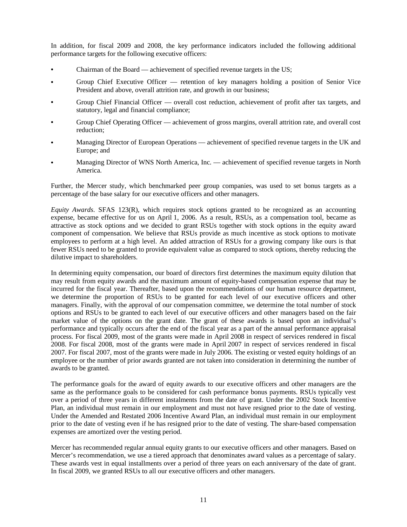In addition, for fiscal 2009 and 2008, the key performance indicators included the following additional performance targets for the following executive officers:

- **•** Chairman of the Board achievement of specified revenue targets in the US;
- Group Chief Executive Officer retention of key managers holding a position of Senior Vice President and above, overall attrition rate, and growth in our business;
- Group Chief Financial Officer overall cost reduction, achievement of profit after tax targets, and statutory, legal and financial compliance;
- Group Chief Operating Officer achievement of gross margins, overall attrition rate, and overall cost reduction;
- Managing Director of European Operations achievement of specified revenue targets in the UK and Europe; and
- Managing Director of WNS North America, Inc. achievement of specified revenue targets in North America.

Further, the Mercer study, which benchmarked peer group companies, was used to set bonus targets as a percentage of the base salary for our executive officers and other managers.

*Equity Awards*. SFAS 123(R), which requires stock options granted to be recognized as an accounting expense, became effective for us on April 1, 2006. As a result, RSUs, as a compensation tool, became as attractive as stock options and we decided to grant RSUs together with stock options in the equity award component of compensation. We believe that RSUs provide as much incentive as stock options to motivate employees to perform at a high level. An added attraction of RSUs for a growing company like ours is that fewer RSUs need to be granted to provide equivalent value as compared to stock options, thereby reducing the dilutive impact to shareholders.

In determining equity compensation, our board of directors first determines the maximum equity dilution that may result from equity awards and the maximum amount of equity-based compensation expense that may be incurred for the fiscal year. Thereafter, based upon the recommendations of our human resource department, we determine the proportion of RSUs to be granted for each level of our executive officers and other managers. Finally, with the approval of our compensation committee, we determine the total number of stock options and RSUs to be granted to each level of our executive officers and other managers based on the fair market value of the options on the grant date. The grant of these awards is based upon an individual's performance and typically occurs after the end of the fiscal year as a part of the annual performance appraisal process. For fiscal 2009, most of the grants were made in April 2008 in respect of services rendered in fiscal 2008. For fiscal 2008, most of the grants were made in April 2007 in respect of services rendered in fiscal 2007. For fiscal 2007, most of the grants were made in July 2006. The existing or vested equity holdings of an employee or the number of prior awards granted are not taken into consideration in determining the number of awards to be granted.

The performance goals for the award of equity awards to our executive officers and other managers are the same as the performance goals to be considered for cash performance bonus payments. RSUs typically vest over a period of three years in different instalments from the date of grant. Under the 2002 Stock Incentive Plan, an individual must remain in our employment and must not have resigned prior to the date of vesting. Under the Amended and Restated 2006 Incentive Award Plan, an individual must remain in our employment prior to the date of vesting even if he has resigned prior to the date of vesting. The share-based compensation expenses are amortized over the vesting period.

Mercer has recommended regular annual equity grants to our executive officers and other managers. Based on Mercer's recommendation, we use a tiered approach that denominates award values as a percentage of salary. These awards vest in equal installments over a period of three years on each anniversary of the date of grant. In fiscal 2009, we granted RSUs to all our executive officers and other managers.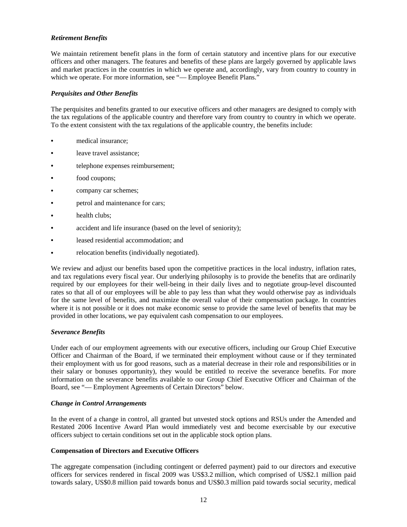# *Retirement Benefits*

We maintain retirement benefit plans in the form of certain statutory and incentive plans for our executive officers and other managers. The features and benefits of these plans are largely governed by applicable laws and market practices in the countries in which we operate and, accordingly, vary from country to country in which we operate. For more information, see "-Employee Benefit Plans."

## *Perquisites and Other Benefits*

The perquisites and benefits granted to our executive officers and other managers are designed to comply with the tax regulations of the applicable country and therefore vary from country to country in which we operate. To the extent consistent with the tax regulations of the applicable country, the benefits include:

- **•** medical insurance;
- **•** leave travel assistance;
- telephone expenses reimbursement;
- **•** food coupons;
- **•** company car schemes;
- **•** petrol and maintenance for cars;
- **•** health clubs;
- **•** accident and life insurance (based on the level of seniority);
- **•** leased residential accommodation; and
- **•** relocation benefits (individually negotiated).

We review and adjust our benefits based upon the competitive practices in the local industry, inflation rates, and tax regulations every fiscal year. Our underlying philosophy is to provide the benefits that are ordinarily required by our employees for their well-being in their daily lives and to negotiate group-level discounted rates so that all of our employees will be able to pay less than what they would otherwise pay as individuals for the same level of benefits, and maximize the overall value of their compensation package. In countries where it is not possible or it does not make economic sense to provide the same level of benefits that may be provided in other locations, we pay equivalent cash compensation to our employees.

## *Severance Benefits*

Under each of our employment agreements with our executive officers, including our Group Chief Executive Officer and Chairman of the Board, if we terminated their employment without cause or if they terminated their employment with us for good reasons, such as a material decrease in their role and responsibilities or in their salary or bonuses opportunity), they would be entitled to receive the severance benefits. For more information on the severance benefits available to our Group Chief Executive Officer and Chairman of the Board, see "— Employment Agreements of Certain Directors" below.

## *Change in Control Arrangements*

In the event of a change in control, all granted but unvested stock options and RSUs under the Amended and Restated 2006 Incentive Award Plan would immediately vest and become exercisable by our executive officers subject to certain conditions set out in the applicable stock option plans.

## **Compensation of Directors and Executive Officers**

The aggregate compensation (including contingent or deferred payment) paid to our directors and executive officers for services rendered in fiscal 2009 was US\$3.2 million, which comprised of US\$2.1 million paid towards salary, US\$0.8 million paid towards bonus and US\$0.3 million paid towards social security, medical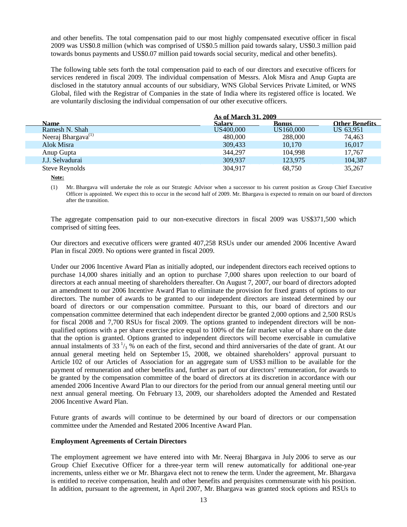and other benefits. The total compensation paid to our most highly compensated executive officer in fiscal 2009 was US\$0.8 million (which was comprised of US\$0.5 million paid towards salary, US\$0.3 million paid towards bonus payments and US\$0.07 million paid towards social security, medical and other benefits).

The following table sets forth the total compensation paid to each of our directors and executive officers for services rendered in fiscal 2009. The individual compensation of Messrs. Alok Misra and Anup Gupta are disclosed in the statutory annual accounts of our subsidiary, WNS Global Services Private Limited, or WNS Global, filed with the Registrar of Companies in the state of India where its registered office is located. We are voluntarily disclosing the individual compensation of our other executive officers.

|                                |           | <b>As of March 31, 2009</b> |                       |  |
|--------------------------------|-----------|-----------------------------|-----------------------|--|
| Name                           | Salary    | <b>Bonus</b>                | <b>Other Renefits</b> |  |
| Ramesh N. Shah                 | US400,000 | US160,000                   | US 63,951             |  |
| Neeraj Bhargava <sup>(1)</sup> | 480,000   | 288,000                     | 74,463                |  |
| Alok Misra                     | 309.433   | 10,170                      | 16,017                |  |
| Anup Gupta                     | 344,297   | 104.998                     | 17.767                |  |
| J.J. Selvadurai                | 309,937   | 123,975                     | 104,387               |  |
| Steve Reynolds                 | 304,917   | 68,750                      | 35,267                |  |

**Note:**

(1) Mr. Bhargava will undertake the role as our Strategic Advisor when a successor to his current position as Group Chief Executive Officer is appointed. We expect this to occur in the second half of 2009. Mr. Bhargava is expected to remain on our board of directors after the transition.

The aggregate compensation paid to our non-executive directors in fiscal 2009 was US\$371,500 which comprised of sitting fees.

Our directors and executive officers were granted 407,258 RSUs under our amended 2006 Incentive Award Plan in fiscal 2009. No options were granted in fiscal 2009.

Under our 2006 Incentive Award Plan as initially adopted, our independent directors each received options to purchase 14,000 shares initially and an option to purchase 7,000 shares upon reelection to our board of directors at each annual meeting of shareholders thereafter. On August 7, 2007, our board of directors adopted an amendment to our 2006 Incentive Award Plan to eliminate the provision for fixed grants of options to our directors. The number of awards to be granted to our independent directors are instead determined by our board of directors or our compensation committee. Pursuant to this, our board of directors and our compensation committee determined that each independent director be granted 2,000 options and 2,500 RSUs for fiscal 2008 and 7,700 RSUs for fiscal 2009. The options granted to independent directors will be nonqualified options with a per share exercise price equal to 100% of the fair market value of a share on the date that the option is granted. Options granted to independent directors will become exercisable in cumulative annual instalments of 33 $\frac{1}{3}$ % on each of the first, second and third anniversaries of the date of grant. At our annual general meeting held on September 15, 2008, we obtained shareholders' approval pursuant to Article 102 of our Articles of Association for an aggregate sum of US\$3 million to be available for the payment of remuneration and other benefits and, further as part of our directors' remuneration, for awards to be granted by the compensation committee of the board of directors at its discretion in accordance with our amended 2006 Incentive Award Plan to our directors for the period from our annual general meeting until our next annual general meeting. On February 13, 2009, our shareholders adopted the Amended and Restated 2006 Incentive Award Plan.

Future grants of awards will continue to be determined by our board of directors or our compensation committee under the Amended and Restated 2006 Incentive Award Plan.

## **Employment Agreements of Certain Directors**

The employment agreement we have entered into with Mr. Neeraj Bhargava in July 2006 to serve as our Group Chief Executive Officer for a three-year term will renew automatically for additional one-year increments, unless either we or Mr. Bhargava elect not to renew the term. Under the agreement, Mr. Bhargava is entitled to receive compensation, health and other benefits and perquisites commensurate with his position. In addition, pursuant to the agreement, in April 2007, Mr. Bhargava was granted stock options and RSUs to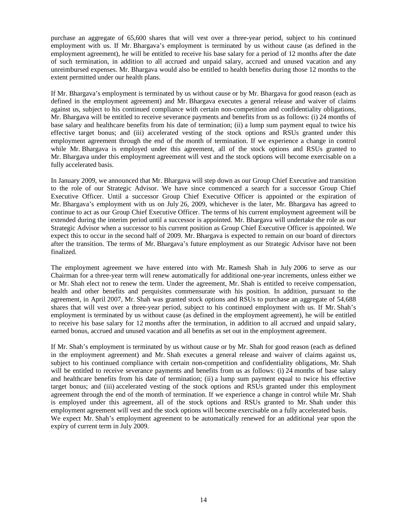purchase an aggregate of 65,600 shares that will vest over a three-year period, subject to his continued employment with us. If Mr. Bhargava's employment is terminated by us without cause (as defined in the employment agreement), he will be entitled to receive his base salary for a period of 12 months after the date of such termination, in addition to all accrued and unpaid salary, accrued and unused vacation and any unreimbursed expenses. Mr. Bhargava would also be entitled to health benefits during those 12 months to the extent permitted under our health plans.

If Mr. Bhargava's employment is terminated by us without cause or by Mr. Bhargava for good reason (each as defined in the employment agreement) and Mr. Bhargava executes a general release and waiver of claims against us, subject to his continued compliance with certain non-competition and confidentiality obligations, Mr. Bhargava will be entitled to receive severance payments and benefits from us as follows: (i) 24 months of base salary and healthcare benefits from his date of termination; (ii) a lump sum payment equal to twice his effective target bonus; and (iii) accelerated vesting of the stock options and RSUs granted under this employment agreement through the end of the month of termination. If we experience a change in control while Mr. Bhargava is employed under this agreement, all of the stock options and RSUs granted to Mr. Bhargava under this employment agreement will vest and the stock options will become exercisable on a fully accelerated basis.

In January 2009, we announced that Mr. Bhargava will step down as our Group Chief Executive and transition to the role of our Strategic Advisor. We have since commenced a search for a successor Group Chief Executive Officer. Until a successor Group Chief Executive Officer is appointed or the expiration of Mr. Bhargava's employment with us on July 26, 2009, whichever is the later, Mr. Bhargava has agreed to continue to act as our Group Chief Executive Officer. The terms of his current employment agreement will be extended during the interim period until a successor is appointed. Mr. Bhargava will undertake the role as our Strategic Advisor when a successor to his current position as Group Chief Executive Officer is appointed. We expect this to occur in the second half of 2009. Mr. Bhargava is expected to remain on our board of directors after the transition. The terms of Mr. Bhargava's future employment as our Strategic Advisor have not been finalized.

The employment agreement we have entered into with Mr. Ramesh Shah in July 2006 to serve as our Chairman for a three-year term will renew automatically for additional one-year increments, unless either we or Mr. Shah elect not to renew the term. Under the agreement, Mr. Shah is entitled to receive compensation, health and other benefits and perquisites commensurate with his position. In addition, pursuant to the agreement, in April 2007, Mr. Shah was granted stock options and RSUs to purchase an aggregate of 54,688 shares that will vest over a three-year period, subject to his continued employment with us. If Mr. Shah's employment is terminated by us without cause (as defined in the employment agreement), he will be entitled to receive his base salary for 12 months after the termination, in addition to all accrued and unpaid salary, earned bonus, accrued and unused vacation and all benefits as set out in the employment agreement.

If Mr. Shah's employment is terminated by us without cause or by Mr. Shah for good reason (each as defined in the employment agreement) and Mr. Shah executes a general release and waiver of claims against us, subject to his continued compliance with certain non-competition and confidentiality obligations, Mr. Shah will be entitled to receive severance payments and benefits from us as follows: (i) 24 months of base salary and healthcare benefits from his date of termination; (ii) a lump sum payment equal to twice his effective target bonus; and (iii) accelerated vesting of the stock options and RSUs granted under this employment agreement through the end of the month of termination. If we experience a change in control while Mr. Shah is employed under this agreement, all of the stock options and RSUs granted to Mr. Shah under this employment agreement will vest and the stock options will become exercisable on a fully accelerated basis. We expect Mr. Shah's employment agreement to be automatically renewed for an additional year upon the expiry of current term in July 2009.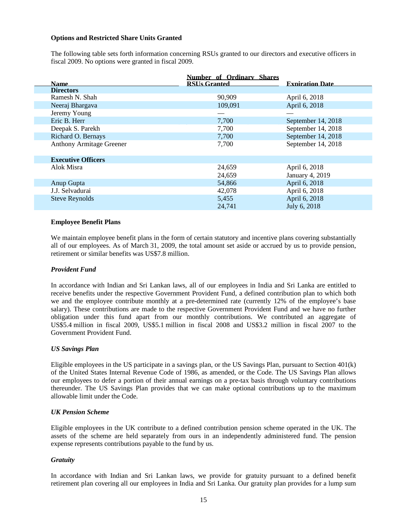#### **Options and Restricted Share Units Granted**

The following table sets forth information concerning RSUs granted to our directors and executive officers in fiscal 2009. No options were granted in fiscal 2009.

| <b>Name</b>                     | <b>Number of Ordinary Shares</b><br><b>RSUs Granted</b> | <b>Exniration Date</b> |
|---------------------------------|---------------------------------------------------------|------------------------|
| <b>Directors</b>                |                                                         |                        |
| Ramesh N. Shah                  | 90,909                                                  | April 6, 2018          |
| Neeraj Bhargava                 | 109,091                                                 | April 6, 2018          |
| Jeremy Young                    |                                                         |                        |
| Eric B. Herr                    | 7,700                                                   | September 14, 2018     |
| Deepak S. Parekh                | 7,700                                                   | September 14, 2018     |
| Richard O. Bernays              | 7,700                                                   | September 14, 2018     |
| <b>Anthony Armitage Greener</b> | 7,700                                                   | September 14, 2018     |
| <b>Executive Officers</b>       |                                                         |                        |
| Alok Misra                      | 24,659                                                  | April 6, 2018          |
|                                 | 24,659                                                  | January 4, 2019        |
| Anup Gupta                      | 54,866                                                  | April 6, 2018          |
| J.J. Selvadurai                 | 42,078                                                  | April 6, 2018          |
| <b>Steve Reynolds</b>           | 5,455                                                   | April 6, 2018          |
|                                 | 24,741                                                  | July 6, 2018           |

#### **Employee Benefit Plans**

We maintain employee benefit plans in the form of certain statutory and incentive plans covering substantially all of our employees. As of March 31, 2009, the total amount set aside or accrued by us to provide pension, retirement or similar benefits was US\$7.8 million.

#### *Provident Fund*

In accordance with Indian and Sri Lankan laws, all of our employees in India and Sri Lanka are entitled to receive benefits under the respective Government Provident Fund, a defined contribution plan to which both we and the employee contribute monthly at a pre-determined rate (currently 12% of the employee's base salary). These contributions are made to the respective Government Provident Fund and we have no further obligation under this fund apart from our monthly contributions. We contributed an aggregate of US\$5.4 million in fiscal 2009, US\$5.1 million in fiscal 2008 and US\$3.2 million in fiscal 2007 to the Government Provident Fund.

#### *US Savings Plan*

Eligible employees in the US participate in a savings plan, or the US Savings Plan, pursuant to Section 401(k) of the United States Internal Revenue Code of 1986, as amended, or the Code. The US Savings Plan allows our employees to defer a portion of their annual earnings on a pre-tax basis through voluntary contributions thereunder. The US Savings Plan provides that we can make optional contributions up to the maximum allowable limit under the Code.

#### *UK Pension Scheme*

Eligible employees in the UK contribute to a defined contribution pension scheme operated in the UK. The assets of the scheme are held separately from ours in an independently administered fund. The pension expense represents contributions payable to the fund by us.

#### *Gratuity*

In accordance with Indian and Sri Lankan laws, we provide for gratuity pursuant to a defined benefit retirement plan covering all our employees in India and Sri Lanka. Our gratuity plan provides for a lump sum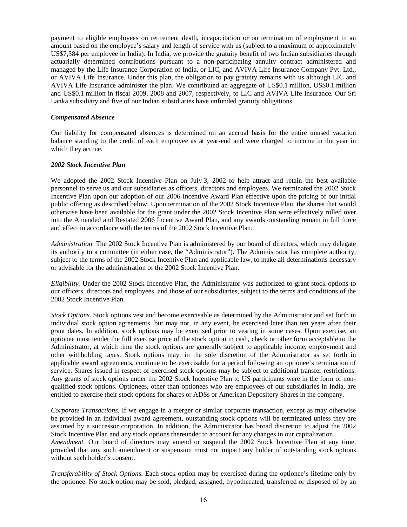payment to eligible employees on retirement death, incapacitation or on termination of employment in an amount based on the employee's salary and length of service with us (subject to a maximum of approximately US\$7,584 per employee in India). In India, we provide the gratuity benefit of two Indian subsidiaries through actuarially determined contributions pursuant to a non-participating annuity contract administered and managed by the Life Insurance Corporation of India, or LIC, and AVIVA Life Insurance Company Pvt. Ltd., or AVIVA Life Insurance. Under this plan, the obligation to pay gratuity remains with us although LIC and AVIVA Life Insurance administer the plan. We contributed an aggregate of US\$0.1 million, US\$0.1 million and US\$0.1 million in fiscal 2009, 2008 and 2007, respectively, to LIC and AVIVA Life Insurance. Our Sri Lanka subsidiary and five of our Indian subsidiaries have unfunded gratuity obligations.

#### *Compensated Absence*

Our liability for compensated absences is determined on an accrual basis for the entire unused vacation balance standing to the credit of each employee as at year-end and were charged to income in the year in which they accrue.

#### *2002 Stock Incentive Plan*

We adopted the 2002 Stock Incentive Plan on July 3, 2002 to help attract and retain the best available personnel to serve us and our subsidiaries as officers, directors and employees. We terminated the 2002 Stock Incentive Plan upon our adoption of our 2006 Incentive Award Plan effective upon the pricing of our initial public offering as described below. Upon termination of the 2002 Stock Incentive Plan, the shares that would otherwise have been available for the grant under the 2002 Stock Incentive Plan were effectively rolled over into the Amended and Restated 2006 Incentive Award Plan, and any awards outstanding remain in full force and effect in accordance with the terms of the 2002 Stock Incentive Plan.

*Administration.* The 2002 Stock Incentive Plan is administered by our board of directors, which may delegate its authority to a committee (in either case, the "Administrator"). The Administrator has complete authority, subject to the terms of the 2002 Stock Incentive Plan and applicable law, to make all determinations necessary or advisable for the administration of the 2002 Stock Incentive Plan.

*Eligibility.* Under the 2002 Stock Incentive Plan, the Administrator was authorized to grant stock options to our officers, directors and employees, and those of our subsidiaries, subject to the terms and conditions of the 2002 Stock Incentive Plan.

*Stock Options.* Stock options vest and become exercisable as determined by the Administrator and set forth in individual stock option agreements, but may not, in any event, be exercised later than ten years after their grant dates. In addition, stock options may be exercised prior to vesting in some cases. Upon exercise, an optionee must tender the full exercise price of the stock option in cash, check or other form acceptable to the Administrator, at which time the stock options are generally subject to applicable income, employment and other withholding taxes. Stock options may, in the sole discretion of the Administrator as set forth in applicable award agreements, continue to be exercisable for a period following an optionee's termination of service. Shares issued in respect of exercised stock options may be subject to additional transfer restrictions. Any grants of stock options under the 2002 Stock Incentive Plan to US participants were in the form of nonqualified stock options. Optionees, other than optionees who are employees of our subsidiaries in India, are entitled to exercise their stock options for shares or ADSs or American Depository Shares in the company.

*Corporate Transactions.* If we engage in a merger or similar corporate transaction, except as may otherwise be provided in an individual award agreement, outstanding stock options will be terminated unless they are assumed by a successor corporation. In addition, the Administrator has broad discretion to adjust the 2002 Stock Incentive Plan and any stock options thereunder to account for any changes in our capitalization. *Amendment.* Our board of directors may amend or suspend the 2002 Stock Incentive Plan at any time, provided that any such amendment or suspension must not impact any holder of outstanding stock options without such holder's consent.

*Transferability of Stock Options.* Each stock option may be exercised during the optionee's lifetime only by the optionee. No stock option may be sold, pledged, assigned, hypothecated, transferred or disposed of by an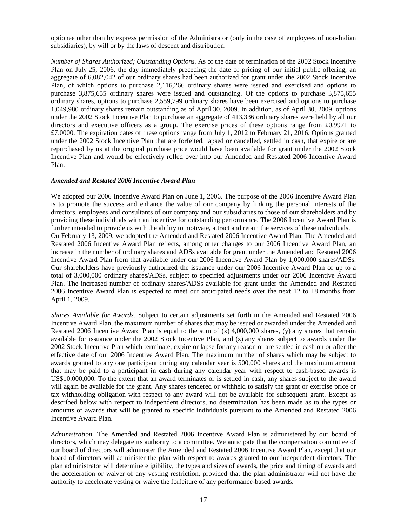optionee other than by express permission of the Administrator (only in the case of employees of non-Indian subsidiaries), by will or by the laws of descent and distribution.

*Number of Shares Authorized; Outstanding Options.* As of the date of termination of the 2002 Stock Incentive Plan on July 25, 2006, the day immediately preceding the date of pricing of our initial public offering, an aggregate of 6,082,042 of our ordinary shares had been authorized for grant under the 2002 Stock Incentive Plan, of which options to purchase 2,116,266 ordinary shares were issued and exercised and options to purchase 3,875,655 ordinary shares were issued and outstanding. Of the options to purchase 3,875,655 ordinary shares, options to purchase 2,559,799 ordinary shares have been exercised and options to purchase 1,049,980 ordinary shares remain outstanding as of April 30, 2009. In addition, as of April 30, 2009, options under the 2002 Stock Incentive Plan to purchase an aggregate of 413,336 ordinary shares were held by all our directors and executive officers as a group. The exercise prices of these options range from £0.9971 to £7.0000. The expiration dates of these options range from July 1, 2012 to February 21, 2016. Options granted under the 2002 Stock Incentive Plan that are forfeited, lapsed or cancelled, settled in cash, that expire or are repurchased by us at the original purchase price would have been available for grant under the 2002 Stock Incentive Plan and would be effectively rolled over into our Amended and Restated 2006 Incentive Award Plan.

#### *Amended and Restated 2006 Incentive Award Plan*

We adopted our 2006 Incentive Award Plan on June 1, 2006. The purpose of the 2006 Incentive Award Plan is to promote the success and enhance the value of our company by linking the personal interests of the directors, employees and consultants of our company and our subsidiaries to those of our shareholders and by providing these individuals with an incentive for outstanding performance. The 2006 Incentive Award Plan is further intended to provide us with the ability to motivate, attract and retain the services of these individuals. On February 13, 2009, we adopted the Amended and Restated 2006 Incentive Award Plan. The Amended and Restated 2006 Incentive Award Plan reflects, among other changes to our 2006 Incentive Award Plan, an increase in the number of ordinary shares and ADSs available for grant under the Amended and Restated 2006 Incentive Award Plan from that available under our 2006 Incentive Award Plan by 1,000,000 shares/ADSs. Our shareholders have previously authorized the issuance under our 2006 Incentive Award Plan of up to a total of 3,000,000 ordinary shares/ADSs, subject to specified adjustments under our 2006 Incentive Award Plan. The increased number of ordinary shares/ADSs available for grant under the Amended and Restated 2006 Incentive Award Plan is expected to meet our anticipated needs over the next 12 to 18 months from April 1, 2009.

*Shares Available for Awards.* Subject to certain adjustments set forth in the Amended and Restated 2006 Incentive Award Plan, the maximum number of shares that may be issued or awarded under the Amended and Restated 2006 Incentive Award Plan is equal to the sum of  $(x)$  4,000,000 shares,  $(y)$  any shares that remain available for issuance under the 2002 Stock Incentive Plan, and (z) any shares subject to awards under the 2002 Stock Incentive Plan which terminate, expire or lapse for any reason or are settled in cash on or after the effective date of our 2006 Incentive Award Plan. The maximum number of shares which may be subject to awards granted to any one participant during any calendar year is 500,000 shares and the maximum amount that may be paid to a participant in cash during any calendar year with respect to cash-based awards is US\$10,000,000. To the extent that an award terminates or is settled in cash, any shares subject to the award will again be available for the grant. Any shares tendered or withheld to satisfy the grant or exercise price or tax withholding obligation with respect to any award will not be available for subsequent grant. Except as described below with respect to independent directors, no determination has been made as to the types or amounts of awards that will be granted to specific individuals pursuant to the Amended and Restated 2006 Incentive Award Plan.

*Administration.* The Amended and Restated 2006 Incentive Award Plan is administered by our board of directors, which may delegate its authority to a committee. We anticipate that the compensation committee of our board of directors will administer the Amended and Restated 2006 Incentive Award Plan, except that our board of directors will administer the plan with respect to awards granted to our independent directors. The plan administrator will determine eligibility, the types and sizes of awards, the price and timing of awards and the acceleration or waiver of any vesting restriction, provided that the plan administrator will not have the authority to accelerate vesting or waive the forfeiture of any performance-based awards.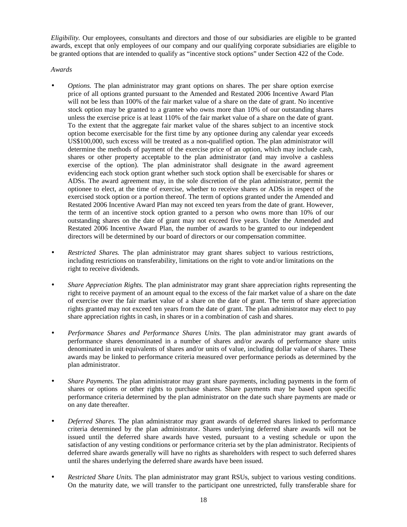*Eligibility.* Our employees, consultants and directors and those of our subsidiaries are eligible to be granted awards, except that only employees of our company and our qualifying corporate subsidiaries are eligible to be granted options that are intended to qualify as "incentive stock options" under Section 422 of the Code.

*Awards* 

- *Options.* The plan administrator may grant options on shares. The per share option exercise price of all options granted pursuant to the Amended and Restated 2006 Incentive Award Plan will not be less than 100% of the fair market value of a share on the date of grant. No incentive stock option may be granted to a grantee who owns more than 10% of our outstanding shares unless the exercise price is at least 110% of the fair market value of a share on the date of grant. To the extent that the aggregate fair market value of the shares subject to an incentive stock option become exercisable for the first time by any optionee during any calendar year exceeds US\$100,000, such excess will be treated as a non-qualified option. The plan administrator will determine the methods of payment of the exercise price of an option, which may include cash, shares or other property acceptable to the plan administrator (and may involve a cashless exercise of the option). The plan administrator shall designate in the award agreement evidencing each stock option grant whether such stock option shall be exercisable for shares or ADSs. The award agreement may, in the sole discretion of the plan administrator, permit the optionee to elect, at the time of exercise, whether to receive shares or ADSs in respect of the exercised stock option or a portion thereof. The term of options granted under the Amended and Restated 2006 Incentive Award Plan may not exceed ten years from the date of grant. However, the term of an incentive stock option granted to a person who owns more than 10% of our outstanding shares on the date of grant may not exceed five years. Under the Amended and Restated 2006 Incentive Award Plan, the number of awards to be granted to our independent directors will be determined by our board of directors or our compensation committee.
- *Restricted Shares*. The plan administrator may grant shares subject to various restrictions, including restrictions on transferability, limitations on the right to vote and/or limitations on the right to receive dividends.
- *Share Appreciation Rights.* The plan administrator may grant share appreciation rights representing the right to receive payment of an amount equal to the excess of the fair market value of a share on the date of exercise over the fair market value of a share on the date of grant. The term of share appreciation rights granted may not exceed ten years from the date of grant. The plan administrator may elect to pay share appreciation rights in cash, in shares or in a combination of cash and shares.
- *Performance Shares and Performance Shares Units.* The plan administrator may grant awards of performance shares denominated in a number of shares and/or awards of performance share units denominated in unit equivalents of shares and/or units of value, including dollar value of shares. These awards may be linked to performance criteria measured over performance periods as determined by the plan administrator.
- *Share Payments.* The plan administrator may grant share payments, including payments in the form of shares or options or other rights to purchase shares. Share payments may be based upon specific performance criteria determined by the plan administrator on the date such share payments are made or on any date thereafter.
- *Deferred Shares.* The plan administrator may grant awards of deferred shares linked to performance criteria determined by the plan administrator. Shares underlying deferred share awards will not be issued until the deferred share awards have vested, pursuant to a vesting schedule or upon the satisfaction of any vesting conditions or performance criteria set by the plan administrator. Recipients of deferred share awards generally will have no rights as shareholders with respect to such deferred shares until the shares underlying the deferred share awards have been issued.
- *Restricted Share Units.* The plan administrator may grant RSUs, subject to various vesting conditions. On the maturity date, we will transfer to the participant one unrestricted, fully transferable share for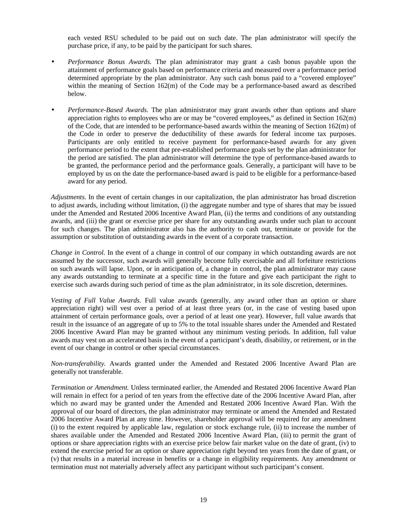each vested RSU scheduled to be paid out on such date. The plan administrator will specify the purchase price, if any, to be paid by the participant for such shares.

- *Performance Bonus Awards.* The plan administrator may grant a cash bonus payable upon the attainment of performance goals based on performance criteria and measured over a performance period determined appropriate by the plan administrator. Any such cash bonus paid to a "covered employee" within the meaning of Section 162(m) of the Code may be a performance-based award as described below.
- *Performance-Based Awards*. The plan administrator may grant awards other than options and share appreciation rights to employees who are or may be "covered employees," as defined in Section  $162(m)$ of the Code, that are intended to be performance-based awards within the meaning of Section 162(m) of the Code in order to preserve the deductibility of these awards for federal income tax purposes. Participants are only entitled to receive payment for performance-based awards for any given performance period to the extent that pre-established performance goals set by the plan administrator for the period are satisfied. The plan administrator will determine the type of performance-based awards to be granted, the performance period and the performance goals. Generally, a participant will have to be employed by us on the date the performance-based award is paid to be eligible for a performance-based award for any period.

*Adjustments.* In the event of certain changes in our capitalization, the plan administrator has broad discretion to adjust awards, including without limitation, (i) the aggregate number and type of shares that may be issued under the Amended and Restated 2006 Incentive Award Plan, (ii) the terms and conditions of any outstanding awards, and (iii) the grant or exercise price per share for any outstanding awards under such plan to account for such changes. The plan administrator also has the authority to cash out, terminate or provide for the assumption or substitution of outstanding awards in the event of a corporate transaction.

*Change in Control.* In the event of a change in control of our company in which outstanding awards are not assumed by the successor, such awards will generally become fully exercisable and all forfeiture restrictions on such awards will lapse. Upon, or in anticipation of, a change in control, the plan administrator may cause any awards outstanding to terminate at a specific time in the future and give each participant the right to exercise such awards during such period of time as the plan administrator, in its sole discretion, determines.

*Vesting of Full Value Awards.* Full value awards (generally, any award other than an option or share appreciation right) will vest over a period of at least three years (or, in the case of vesting based upon attainment of certain performance goals, over a period of at least one year). However, full value awards that result in the issuance of an aggregate of up to 5% to the total issuable shares under the Amended and Restated 2006 Incentive Award Plan may be granted without any minimum vesting periods. In addition, full value awards may vest on an accelerated basis in the event of a participant's death, disability, or retirement, or in the event of our change in control or other special circumstances.

*Non-transferability.* Awards granted under the Amended and Restated 2006 Incentive Award Plan are generally not transferable.

*Termination or Amendment.* Unless terminated earlier, the Amended and Restated 2006 Incentive Award Plan will remain in effect for a period of ten years from the effective date of the 2006 Incentive Award Plan, after which no award may be granted under the Amended and Restated 2006 Incentive Award Plan. With the approval of our board of directors, the plan administrator may terminate or amend the Amended and Restated 2006 Incentive Award Plan at any time. However, shareholder approval will be required for any amendment (i) to the extent required by applicable law, regulation or stock exchange rule, (ii) to increase the number of shares available under the Amended and Restated 2006 Incentive Award Plan, (iii) to permit the grant of options or share appreciation rights with an exercise price below fair market value on the date of grant, (iv) to extend the exercise period for an option or share appreciation right beyond ten years from the date of grant, or (v) that results in a material increase in benefits or a change in eligibility requirements. Any amendment or termination must not materially adversely affect any participant without such participant's consent.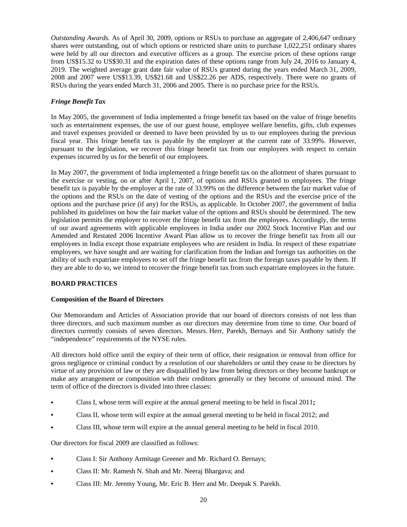*Outstanding Awards.* As of April 30, 2009, options or RSUs to purchase an aggregate of 2,406,647 ordinary shares were outstanding, out of which options or restricted share units to purchase 1,022,251 ordinary shares were held by all our directors and executive officers as a group. The exercise prices of these options range from US\$15.32 to US\$30.31 and the expiration dates of these options range from July 24, 2016 to January 4, 2019. The weighted average grant date fair value of RSUs granted during the years ended March 31, 2009, 2008 and 2007 were US\$13.39, US\$21.68 and US\$22.26 per ADS, respectively. There were no grants of RSUs during the years ended March 31, 2006 and 2005. There is no purchase price for the RSUs.

# *Fringe Benefit Tax*

In May 2005, the government of India implemented a fringe benefit tax based on the value of fringe benefits such as entertainment expenses, the use of our guest house, employee welfare benefits, gifts, club expenses and travel expenses provided or deemed to have been provided by us to our employees during the previous fiscal year. This fringe benefit tax is payable by the employer at the current rate of 33.99%. However, pursuant to the legislation, we recover this fringe benefit tax from our employees with respect to certain expenses incurred by us for the benefit of our employees.

In May 2007, the government of India implemented a fringe benefit tax on the allotment of shares pursuant to the exercise or vesting, on or after April 1, 2007, of options and RSUs granted to employees. The fringe benefit tax is payable by the employer at the rate of 33.99% on the difference between the fair market value of the options and the RSUs on the date of vesting of the options and the RSUs and the exercise price of the options and the purchase price (if any) for the RSUs, as applicable. In October 2007, the government of India published its guidelines on how the fair market value of the options and RSUs should be determined. The new legislation permits the employer to recover the fringe benefit tax from the employees. Accordingly, the terms of our award agreements with applicable employees in India under our 2002 Stock Incentive Plan and our Amended and Restated 2006 Incentive Award Plan allow us to recover the fringe benefit tax from all our employees in India except those expatriate employees who are resident in India. In respect of these expatriate employees, we have sought and are waiting for clarification from the Indian and foreign tax authorities on the ability of such expatriate employees to set off the fringe benefit tax from the foreign taxes payable by them. If they are able to do so, we intend to recover the fringe benefit tax from such expatriate employees in the future.

# **BOARD PRACTICES**

# **Composition of the Board of Directors**

Our Memorandum and Articles of Association provide that our board of directors consists of not less than three directors, and such maximum number as our directors may determine from time to time. Our board of directors currently consists of seven directors. Messrs. Herr, Parekh, Bernays and Sir Anthony satisfy the "independence" requirements of the NYSE rules.

All directors hold office until the expiry of their term of office, their resignation or removal from office for gross negligence or criminal conduct by a resolution of our shareholders or until they cease to be directors by virtue of any provision of law or they are disqualified by law from being directors or they become bankrupt or make any arrangement or composition with their creditors generally or they become of unsound mind. The term of office of the directors is divided into three classes:

- **•** Class I, whose term will expire at the annual general meeting to be held in fiscal 2011**;**
- **•** Class II, whose term will expire at the annual general meeting to be held in fiscal 2012; and
- **•** Class III, whose term will expire at the annual general meeting to be held in fiscal 2010.

Our directors for fiscal 2009 are classified as follows:

- **•** Class I: Sir Anthony Armitage Greener and Mr. Richard O. Bernays;
- **•** Class II: Mr. Ramesh N. Shah and Mr. Neeraj Bhargava; and
- **•** Class III: Mr. Jeremy Young, Mr. Eric B. Herr and Mr. Deepak S. Parekh.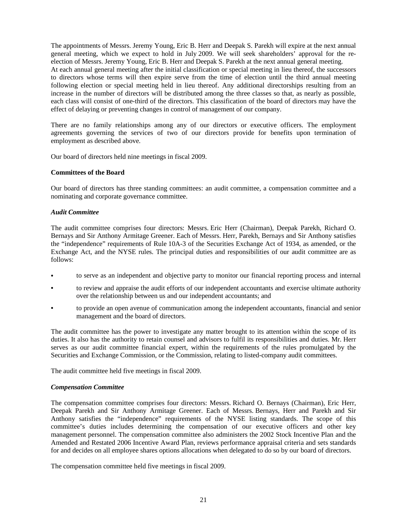The appointments of Messrs. Jeremy Young, Eric B. Herr and Deepak S. Parekh will expire at the next annual general meeting, which we expect to hold in July 2009. We will seek shareholders' approval for the reelection of Messrs. Jeremy Young, Eric B. Herr and Deepak S. Parekh at the next annual general meeting. At each annual general meeting after the initial classification or special meeting in lieu thereof, the successors to directors whose terms will then expire serve from the time of election until the third annual meeting following election or special meeting held in lieu thereof. Any additional directorships resulting from an increase in the number of directors will be distributed among the three classes so that, as nearly as possible, each class will consist of one-third of the directors. This classification of the board of directors may have the effect of delaying or preventing changes in control of management of our company.

There are no family relationships among any of our directors or executive officers. The employment agreements governing the services of two of our directors provide for benefits upon termination of employment as described above.

Our board of directors held nine meetings in fiscal 2009.

#### **Committees of the Board**

Our board of directors has three standing committees: an audit committee, a compensation committee and a nominating and corporate governance committee.

#### *Audit Committee*

The audit committee comprises four directors: Messrs. Eric Herr (Chairman), Deepak Parekh, Richard O. Bernays and Sir Anthony Armitage Greener. Each of Messrs. Herr, Parekh, Bernays and Sir Anthony satisfies the "independence" requirements of Rule 10A-3 of the Securities Exchange Act of 1934, as amended, or the Exchange Act, and the NYSE rules. The principal duties and responsibilities of our audit committee are as follows:

- **•** to serve as an independent and objective party to monitor our financial reporting process and internal
- to review and appraise the audit efforts of our independent accountants and exercise ultimate authority over the relationship between us and our independent accountants; and
- to provide an open avenue of communication among the independent accountants, financial and senior management and the board of directors.

The audit committee has the power to investigate any matter brought to its attention within the scope of its duties. It also has the authority to retain counsel and advisors to fulfil its responsibilities and duties. Mr. Herr serves as our audit committee financial expert, within the requirements of the rules promulgated by the Securities and Exchange Commission, or the Commission, relating to listed-company audit committees.

The audit committee held five meetings in fiscal 2009.

#### *Compensation Committee*

The compensation committee comprises four directors: Messrs. Richard O. Bernays (Chairman), Eric Herr, Deepak Parekh and Sir Anthony Armitage Greener. Each of Messrs. Bernays, Herr and Parekh and Sir Anthony satisfies the "independence" requirements of the NYSE listing standards. The scope of this committee's duties includes determining the compensation of our executive officers and other key management personnel. The compensation committee also administers the 2002 Stock Incentive Plan and the Amended and Restated 2006 Incentive Award Plan, reviews performance appraisal criteria and sets standards for and decides on all employee shares options allocations when delegated to do so by our board of directors.

The compensation committee held five meetings in fiscal 2009.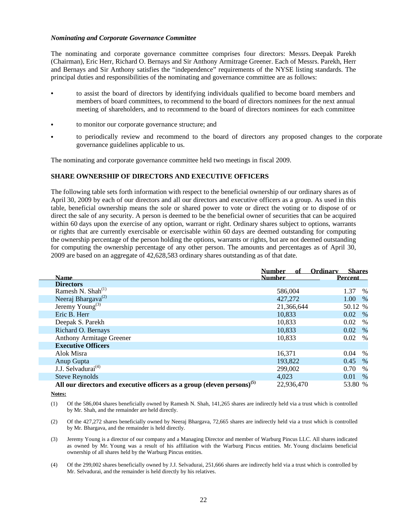#### *Nominating and Corporate Governance Committee*

The nominating and corporate governance committee comprises four directors: Messrs. Deepak Parekh (Chairman), Eric Herr, Richard O. Bernays and Sir Anthony Armitrage Greener. Each of Messrs. Parekh, Herr and Bernays and Sir Anthony satisfies the "independence" requirements of the NYSE listing standards. The principal duties and responsibilities of the nominating and governance committee are as follows:

- to assist the board of directors by identifying individuals qualified to become board members and members of board committees, to recommend to the board of directors nominees for the next annual meeting of shareholders, and to recommend to the board of directors nominees for each committee
- **•** to monitor our corporate governance structure; and
- to periodically review and recommend to the board of directors any proposed changes to the corporate governance guidelines applicable to us.

The nominating and corporate governance committee held two meetings in fiscal 2009.

# **SHARE OWNERSHIP OF DIRECTORS AND EXECUTIVE OFFICERS**

The following table sets forth information with respect to the beneficial ownership of our ordinary shares as of April 30, 2009 by each of our directors and all our directors and executive officers as a group. As used in this table, beneficial ownership means the sole or shared power to vote or direct the voting or to dispose of or direct the sale of any security. A person is deemed to be the beneficial owner of securities that can be acquired within 60 days upon the exercise of any option, warrant or right. Ordinary shares subject to options, warrants or rights that are currently exercisable or exercisable within 60 days are deemed outstanding for computing the ownership percentage of the person holding the options, warrants or rights, but are not deemed outstanding for computing the ownership percentage of any other person. The amounts and percentages as of April 30, 2009 are based on an aggregate of 42,628,583 ordinary shares outstanding as of that date.

|                                                                                     | <b>Number</b><br>of | Ordinary       | <b>Shares</b> |
|-------------------------------------------------------------------------------------|---------------------|----------------|---------------|
| Name                                                                                | <b>Number</b>       | <b>Percent</b> |               |
| <b>Directors</b>                                                                    |                     |                |               |
| Ramesh N. Shah $^{(1)}$                                                             | 586,004             | 1.37           | %             |
| Neeraj Bhargava <sup>(2)</sup>                                                      | 427,272             | 1.00           | $\%$          |
| Jeremy Young <sup>(3)</sup>                                                         | 21,366,644          |                | 50.12 %       |
| Eric B. Herr                                                                        | 10,833              | 0.02           | $\%$          |
| Deepak S. Parekh                                                                    | 10.833              | 0.02           | $\%$          |
| Richard O. Bernays                                                                  | 10,833              | 0.02           | $\%$          |
| <b>Anthony Armitage Greener</b>                                                     | 10,833              | 0.02           | $\%$          |
| <b>Executive Officers</b>                                                           |                     |                |               |
| Alok Misra                                                                          | 16,371              | 0.04           | $\%$          |
| Anup Gupta                                                                          | 193,822             | 0.45           | $\%$          |
| J.J. Selvadurai <sup>(4)</sup>                                                      | 299,002             | 0.70           | $\%$          |
| <b>Steve Reynolds</b>                                                               | 4.023               | 0.01           | $\%$          |
| All our directors and executive officers as a group (eleven persons) <sup>(5)</sup> | 22,936,470          |                | 53.80 %       |

**Notes:**

(1) Of the 586,004 shares beneficially owned by Ramesh N. Shah, 141,265 shares are indirectly held via a trust which is controlled by Mr. Shah, and the remainder are held directly.

(2) Of the 427,272 shares beneficially owned by Neeraj Bhargava, 72,665 shares are indirectly held via a trust which is controlled by Mr. Bhargava, and the remainder is held directly.

(3) Jeremy Young is a director of our company and a Managing Director and member of Warburg Pincus LLC. All shares indicated as owned by Mr. Young was a result of his affiliation with the Warburg Pincus entities. Mr. Young disclaims beneficial ownership of all shares held by the Warburg Pincus entities.

(4) Of the 299,002 shares beneficially owned by J.J. Selvadurai, 251,666 shares are indirectly held via a trust which is controlled by Mr. Selvadurai, and the remainder is held directly by his relatives.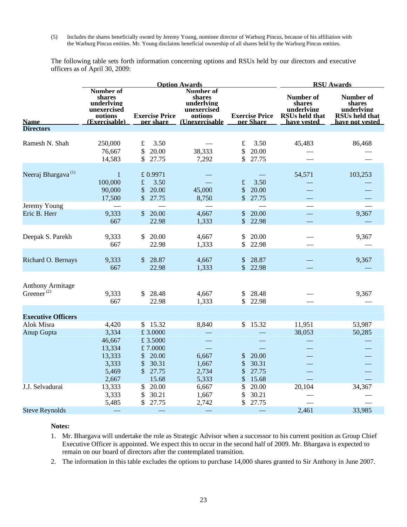(5) Includes the shares beneficially owned by Jeremy Young, nominee director of Warburg Pincus, because of his affiliation with the Warburg Pincus entities. Mr. Young disclaims beneficial ownership of all shares held by the Warburg Pincus entities.

The following table sets forth information concerning options and RSUs held by our directors and executive officers as of April 30, 2009:

|                                                   | <b>Option Awards</b>                                                         |                                                                              |                                                                                         | <b>RSU Awards</b>                               |                                                                           |                                                                               |
|---------------------------------------------------|------------------------------------------------------------------------------|------------------------------------------------------------------------------|-----------------------------------------------------------------------------------------|-------------------------------------------------|---------------------------------------------------------------------------|-------------------------------------------------------------------------------|
| <b>Name</b>                                       | Number of<br>shares<br>underlving<br>unexercised<br>options<br>(Exercisable) | <b>Exercise Price</b>                                                        | Number of<br>shares<br>underlying<br>unexercised<br>options<br>ner share (Unexercisable | <b>Exercise Price</b><br>per Share              | Number of<br>shares<br>underlving<br><b>RSUs held that</b><br>have vested | Number of<br>shares<br>underlying<br><b>RSUs held that</b><br>have not vested |
| <b>Directors</b>                                  |                                                                              |                                                                              |                                                                                         |                                                 |                                                                           |                                                                               |
| Ramesh N. Shah                                    | 250,000<br>76,667<br>14,583                                                  | £<br>3.50<br>\$<br>20.00<br>\$<br>27.75                                      | 38,333<br>7,292                                                                         | $\pounds$<br>3.50<br>\$<br>20.00<br>\$<br>27.75 | 45,483                                                                    | 86,468                                                                        |
| Neeraj Bhargava <sup>(1)</sup>                    | $\mathbf 1$<br>100,000<br>90,000<br>17,500                                   | £ 0.9971<br>$\pounds$<br>3.50<br>\$<br>20.00<br>\$27.75                      | 45,000<br>8,750                                                                         | $\pounds$<br>3.50<br>\$<br>20.00<br>\$<br>27.75 | 54,571                                                                    | 103,253                                                                       |
| Jeremy Young                                      |                                                                              |                                                                              |                                                                                         |                                                 |                                                                           |                                                                               |
| Eric B. Herr                                      | 9,333<br>667                                                                 | \$20.00<br>22.98                                                             | 4,667<br>1,333                                                                          | \$<br>20.00<br>\$<br>22.98                      |                                                                           | 9,367                                                                         |
| Deepak S. Parekh                                  | 9,333<br>667                                                                 | 20.00<br>\$<br>22.98                                                         | 4,667<br>1,333                                                                          | \$<br>20.00<br>22.98<br>\$                      |                                                                           | 9,367                                                                         |
| Richard O. Bernays                                | 9,333<br>667                                                                 | \$28.87<br>22.98                                                             | 4,667<br>1,333                                                                          | 28.87<br>\$<br>22.98<br>\$                      |                                                                           | 9,367                                                                         |
| <b>Anthony Armitage</b><br>Greener <sup>(2)</sup> | 9,333<br>667                                                                 | \$28.48<br>22.98                                                             | 4,667<br>1,333                                                                          | 28.48<br>\$<br>\$<br>22.98                      |                                                                           | 9,367                                                                         |
|                                                   |                                                                              |                                                                              |                                                                                         |                                                 |                                                                           |                                                                               |
| <b>Executive Officers</b><br>Alok Misra           | 4,420                                                                        | \$15.32                                                                      | 8,840                                                                                   | 15.32<br>\$                                     | 11,951                                                                    | 53,987                                                                        |
| Anup Gupta                                        | 3,334<br>46,667<br>13,334<br>13,333<br>3,333<br>5,469                        | £ 3.0000<br>£ 3.5000<br>£7.0000<br>\$<br>20.00<br>\$<br>30.31<br>\$<br>27.75 | 6,667<br>1,667<br>2,734                                                                 | 20.00<br>\$<br>\$<br>30.31<br>\$<br>27.75       | 38,053                                                                    | 50,285                                                                        |
|                                                   | 2,667                                                                        | 15.68                                                                        | 5,333                                                                                   | \$<br>15.68                                     |                                                                           |                                                                               |
| J.J. Selvadurai                                   | 13,333<br>3,333<br>5,485                                                     | 20.00<br>\$<br>\$<br>30.21<br>\$<br>27.75                                    | 6,667<br>1,667<br>2,742                                                                 | \$<br>20.00<br>\$<br>30.21<br>\$<br>27.75       | 20,104                                                                    | 34,367                                                                        |
| <b>Steve Reynolds</b>                             |                                                                              |                                                                              |                                                                                         |                                                 | 2,461                                                                     | 33,985                                                                        |

#### **Notes:**

- 1. Mr. Bhargava will undertake the role as Strategic Advisor when a successor to his current position as Group Chief Executive Officer is appointed. We expect this to occur in the second half of 2009. Mr. Bhargava is expected to remain on our board of directors after the contemplated transition.
- 2. The information in this table excludes the options to purchase 14,000 shares granted to Sir Anthony in June 2007.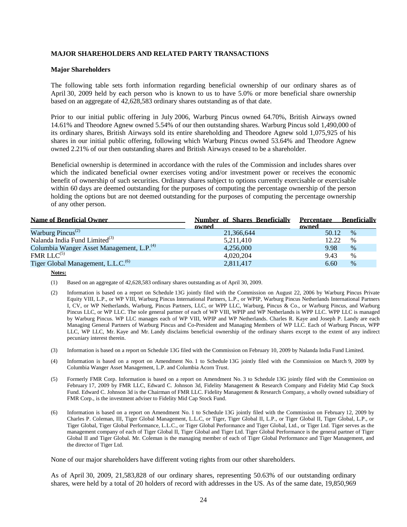# **MAJOR SHAREHOLDERS AND RELATED PARTY TRANSACTIONS**

#### **Major Shareholders**

The following table sets forth information regarding beneficial ownership of our ordinary shares as of April 30, 2009 held by each person who is known to us to have 5.0% or more beneficial share ownership based on an aggregate of 42,628,583 ordinary shares outstanding as of that date.

Prior to our initial public offering in July 2006, Warburg Pincus owned 64.70%, British Airways owned 14.61% and Theodore Agnew owned 5.54% of our then outstanding shares. Warburg Pincus sold 1,490,000 of its ordinary shares, British Airways sold its entire shareholding and Theodore Agnew sold 1,075,925 of his shares in our initial public offering, following which Warburg Pincus owned 53.64% and Theodore Agnew owned 2.21% of our then outstanding shares and British Airways ceased to be a shareholder.

Beneficial ownership is determined in accordance with the rules of the Commission and includes shares over which the indicated beneficial owner exercises voting and/or investment power or receives the economic benefit of ownership of such securities. Ordinary shares subject to options currently exercisable or exercisable within 60 days are deemed outstanding for the purposes of computing the percentage ownership of the person holding the options but are not deemed outstanding for the purposes of computing the percentage ownership of any other person.

| <b>Name of Beneficial Owner</b>                       | Number of Shares Beneficially | Percentage Beneficially |               |
|-------------------------------------------------------|-------------------------------|-------------------------|---------------|
|                                                       | owned                         | owned                   |               |
| Warburg Pincus <sup>(2)</sup>                         | 21,366,644                    | 50.12                   | $\%$          |
| Nalanda India Fund Limited <sup>(3)</sup>             | 5,211,410                     | 12.22                   | $\frac{0}{0}$ |
| Columbia Wanger Asset Management, L.P. <sup>(4)</sup> | 4,256,000                     | 9.98                    | $\%$          |
| $FMR LLC^{(5)}$                                       | 4,020,204                     | 9.43                    | $\%$          |
| Tiger Global Management, L.L.C. <sup>(6)</sup>        | 2,811,417                     | 6.60                    | $\%$          |

#### **Notes:**

- (1) Based on an aggregate of 42,628,583 ordinary shares outstanding as of April 30, 2009.
- (2) Information is based on a report on Schedule 13G jointly filed with the Commission on August 22, 2006 by Warburg Pincus Private Equity VIII, L.P., or WP VIII, Warburg Pincus International Partners, L.P., or WPIP, Warburg Pincus Netherlands International Partners I, CV, or WP Netherlands, Warburg, Pincus Partners, LLC, or WPP LLC, Warburg, Pincus & Co., or Warburg Pincus, and Warburg Pincus LLC, or WP LLC. The sole general partner of each of WP VIII, WPIP and WP Netherlands is WPP LLC. WPP LLC is managed by Warburg Pincus. WP LLC manages each of WP VIII, WPIP and WP Netherlands. Charles R. Kaye and Joseph P. Landy are each Managing General Partners of Warburg Pincus and Co-President and Managing Members of WP LLC. Each of Warburg Pincus, WPP LLC, WP LLC, Mr. Kaye and Mr. Landy disclaims beneficial ownership of the ordinary shares except to the extent of any indirect pecuniary interest therein.
- (3) Information is based on a report on Schedule 13G filed with the Commission on February 10, 2009 by Nalanda India Fund Limited.
- (4) Information is based on a report on Amendment No. 1 to Schedule 13G jointly filed with the Commission on March 9, 2009 by Columbia Wanger Asset Management, L.P. and Columbia Acorn Trust.
- (5) Formerly FMR Corp. Information is based on a report on Amendment No. 3 to Schedule 13G jointly filed with the Commission on February 17, 2009 by FMR LLC, Edward C. Johnson 3d, Fidelity Management & Research Company and Fidelity Mid Cap Stock Fund. Edward C. Johnson 3d is the Chairman of FMR LLC. Fidelity Management & Research Company, a wholly owned subsidiary of FMR Corp., is the investment adviser to Fidelity Mid Cap Stock Fund.
- (6) Information is based on a report on Amendment No. 1 to Schedule 13G jointly filed with the Commission on February 12, 2009 by Charles P. Coleman, III, Tiger Global Management, L.L.C, or Tiger, Tiger Global II, L.P., or Tiger Global II, Tiger Global, L.P., or Tiger Global, Tiger Global Performance, L.L.C., or Tiger Global Performance and Tiger Global, Ltd., or Tiger Ltd. Tiger serves as the management company of each of Tiger Global II, Tiger Global and Tiger Ltd. Tiger Global Performance is the general partner of Tiger Global II and Tiger Global. Mr. Coleman is the managing member of each of Tiger Global Performance and Tiger Management, and the director of Tiger Ltd.

None of our major shareholders have different voting rights from our other shareholders.

As of April 30, 2009, 21,583,828 of our ordinary shares, representing 50.63% of our outstanding ordinary shares, were held by a total of 20 holders of record with addresses in the US. As of the same date, 19,850,969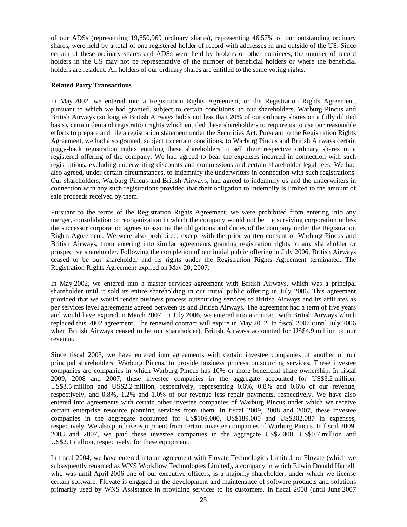of our ADSs (representing 19,850,969 ordinary shares), representing 46.57% of our outstanding ordinary shares, were held by a total of one registered holder of record with addresses in and outside of the US. Since certain of these ordinary shares and ADSs were held by brokers or other nominees, the number of record holders in the US may not be representative of the number of beneficial holders or where the beneficial holders are resident. All holders of our ordinary shares are entitled to the same voting rights.

## **Related Party Transactions**

In May 2002, we entered into a Registration Rights Agreement, or the Registration Rights Agreement, pursuant to which we had granted, subject to certain conditions, to our shareholders, Warburg Pincus and British Airways (so long as British Airways holds not less than 20% of our ordinary shares on a fully diluted basis), certain demand registration rights which entitled these shareholders to require us to use our reasonable efforts to prepare and file a registration statement under the Securities Act. Pursuant to the Registration Rights Agreement, we had also granted, subject to certain conditions, to Warburg Pincus and British Airways certain piggy-back registration rights entitling these shareholders to sell their respective ordinary shares in a registered offering of the company. We had agreed to bear the expenses incurred in connection with such registrations, excluding underwriting discounts and commissions and certain shareholder legal fees. We had also agreed, under certain circumstances, to indemnify the underwriters in connection with such registrations. Our shareholders, Warburg Pincus and British Airways, had agreed to indemnify us and the underwriters in connection with any such registrations provided that their obligation to indemnify is limited to the amount of sale proceeds received by them.

Pursuant to the terms of the Registration Rights Agreement, we were prohibited from entering into any merger, consolidation or reorganization in which the company would not be the surviving corporation unless the successor corporation agrees to assume the obligations and duties of the company under the Registration Rights Agreement. We were also prohibited, except with the prior written consent of Warburg Pincus and British Airways, from entering into similar agreements granting registration rights to any shareholder or prospective shareholder. Following the completion of our initial public offering in July 2006, British Airways ceased to be our shareholder and its rights under the Registration Rights Agreement terminated. The Registration Rights Agreement expired on May 20, 2007.

In May 2002, we entered into a master services agreement with British Airways, which was a principal shareholder until it sold its entire shareholding in our initial public offering in July 2006. This agreement provided that we would render business process outsourcing services to British Airways and its affiliates as per services level agreements agreed between us and British Airways. The agreement had a term of five years and would have expired in March 2007. In July 2006, we entered into a contract with British Airways which replaced this 2002 agreement. The renewed contract will expire in May 2012. In fiscal 2007 (until July 2006 when British Airways ceased to be our shareholder), British Airways accounted for US\$4.9 million of our revenue.

Since fiscal 2003, we have entered into agreements with certain investee companies of another of our principal shareholders, Warburg Pincus, to provide business process outsourcing services. These investee companies are companies in which Warburg Pincus has 10% or more beneficial share ownership. In fiscal 2009, 2008 and 2007, these investee companies in the aggregate accounted for US\$3.2 million, US\$3.5 million and US\$2.2 million, respectively, representing 0.6%, 0.8% and 0.6% of our revenue, respectively, and 0.8%, 1.2% and 1.0% of our revenue less repair payments, respectively. We have also entered into agreements with certain other investee companies of Warburg Pincus under which we receive certain enterprise resource planning services from them. In fiscal 2009, 2008 and 2007, these investee companies in the aggregate accounted for US\$109,000, US\$189,000 and US\$202,087 in expenses, respectively. We also purchase equipment from certain investee companies of Warburg Pincus. In fiscal 2009, 2008 and 2007, we paid these investee companies in the aggregate US\$2,000, US\$0.7 million and US\$2.1 million, respectively, for these equipment.

In fiscal 2004, we have entered into an agreement with Flovate Technologies Limited, or Flovate (which we subsequently renamed as WNS Workflow Technologies Limited), a company in which Edwin Donald Harrell, who was until April 2006 one of our executive officers, is a majority shareholder, under which we license certain software. Flovate is engaged in the development and maintenance of software products and solutions primarily used by WNS Assistance in providing services to its customers. In fiscal 2008 (until June 2007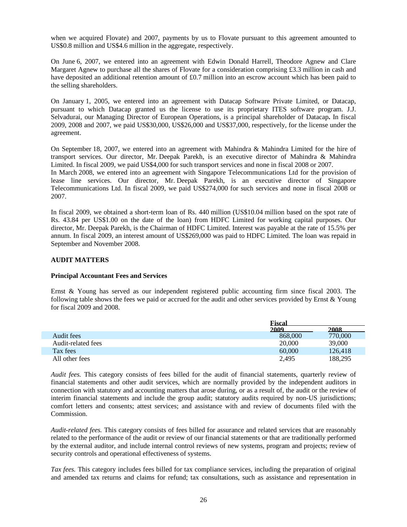when we acquired Flovate) and 2007, payments by us to Flovate pursuant to this agreement amounted to US\$0.8 million and US\$4.6 million in the aggregate, respectively.

On June 6, 2007, we entered into an agreement with Edwin Donald Harrell, Theodore Agnew and Clare Margaret Agnew to purchase all the shares of Flovate for a consideration comprising £3.3 million in cash and have deposited an additional retention amount of £0.7 million into an escrow account which has been paid to the selling shareholders.

On January 1, 2005, we entered into an agreement with Datacap Software Private Limited, or Datacap, pursuant to which Datacap granted us the license to use its proprietary ITES software program. J.J. Selvadurai, our Managing Director of European Operations, is a principal shareholder of Datacap**.** In fiscal 2009, 2008 and 2007, we paid US\$30,000, US\$26,000 and US\$37,000, respectively, for the license under the agreement.

On September 18, 2007, we entered into an agreement with Mahindra & Mahindra Limited for the hire of transport services. Our director, Mr. Deepak Parekh, is an executive director of Mahindra & Mahindra Limited. In fiscal 2009, we paid US\$4,000 for such transport services and none in fiscal 2008 or 2007. In March 2008, we entered into an agreement with Singapore Telecommunications Ltd for the provision of lease line services. Our director, Mr. Deepak Parekh, is an executive director of Singapore Telecommunications Ltd. In fiscal 2009, we paid US\$274,000 for such services and none in fiscal 2008 or 2007.

In fiscal 2009, we obtained a short-term loan of Rs. 440 million (US\$10.04 million based on the spot rate of Rs. 43.84 per US\$1.00 on the date of the loan) from HDFC Limited for working capital purposes. Our director, Mr. Deepak Parekh, is the Chairman of HDFC Limited. Interest was payable at the rate of 15.5% per annum. In fiscal 2009, an interest amount of US\$269,000 was paid to HDFC Limited. The loan was repaid in September and November 2008.

## **AUDIT MATTERS**

## **Principal Accountant Fees and Services**

Ernst & Young has served as our independent registered public accounting firm since fiscal 2003. The following table shows the fees we paid or accrued for the audit and other services provided by Ernst & Young for fiscal 2009 and 2008.

|                    | <b>Fiscal</b> |         |
|--------------------|---------------|---------|
|                    | 2009          | 2008    |
| Audit fees         | 868,000       | 770,000 |
| Audit-related fees | 20,000        | 39,000  |
| Tax fees           | 60,000        | 126.418 |
| All other fees     | 2,495         | 188.295 |

*Audit fees.* This category consists of fees billed for the audit of financial statements, quarterly review of financial statements and other audit services, which are normally provided by the independent auditors in connection with statutory and accounting matters that arose during, or as a result of, the audit or the review of interim financial statements and include the group audit; statutory audits required by non-US jurisdictions; comfort letters and consents; attest services; and assistance with and review of documents filed with the Commission.

*Audit-related fees.* This category consists of fees billed for assurance and related services that are reasonably related to the performance of the audit or review of our financial statements or that are traditionally performed by the external auditor, and include internal control reviews of new systems, program and projects; review of security controls and operational effectiveness of systems.

*Tax fees.* This category includes fees billed for tax compliance services, including the preparation of original and amended tax returns and claims for refund; tax consultations, such as assistance and representation in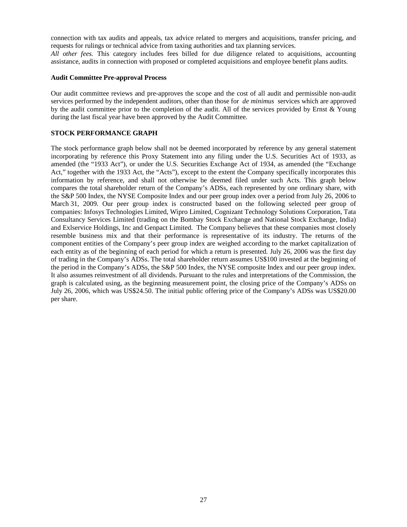connection with tax audits and appeals, tax advice related to mergers and acquisitions, transfer pricing, and requests for rulings or technical advice from taxing authorities and tax planning services. *All other fees.* This category includes fees billed for due diligence related to acquisitions, accounting assistance, audits in connection with proposed or completed acquisitions and employee benefit plans audits.

#### **Audit Committee Pre-approval Process**

Our audit committee reviews and pre-approves the scope and the cost of all audit and permissible non-audit services performed by the independent auditors, other than those for *de minimus* services which are approved by the audit committee prior to the completion of the audit. All of the services provided by Ernst & Young during the last fiscal year have been approved by the Audit Committee.

# **STOCK PERFORMANCE GRAPH**

The stock performance graph below shall not be deemed incorporated by reference by any general statement incorporating by reference this Proxy Statement into any filing under the U.S. Securities Act of 1933, as amended (the "1933 Act"), or under the U.S. Securities Exchange Act of 1934, as amended (the "Exchange Act," together with the 1933 Act, the "Acts"), except to the extent the Company specifically incorporates this information by reference, and shall not otherwise be deemed filed under such Acts. This graph below compares the total shareholder return of the Company's ADSs, each represented by one ordinary share, with the S&P 500 Index, the NYSE Composite Index and our peer group index over a period from July 26, 2006 to March 31, 2009. Our peer group index is constructed based on the following selected peer group of companies: Infosys Technologies Limited, Wipro Limited, Cognizant Technology Solutions Corporation, Tata Consultancy Services Limited (trading on the Bombay Stock Exchange and National Stock Exchange, India) and Exlservice Holdings, Inc and Genpact Limited. The Company believes that these companies most closely resemble business mix and that their performance is representative of its industry. The returns of the component entities of the Company's peer group index are weighed according to the market capitalization of each entity as of the beginning of each period for which a return is presented. July 26, 2006 was the first day of trading in the Company's ADSs. The total shareholder return assumes US\$100 invested at the beginning of the period in the Company's ADSs, the S&P 500 Index, the NYSE composite Index and our peer group index. It also assumes reinvestment of all dividends. Pursuant to the rules and interpretations of the Commission, the graph is calculated using, as the beginning measurement point, the closing price of the Company's ADSs on July 26, 2006, which was US\$24.50. The initial public offering price of the Company's ADSs was US\$20.00 per share.